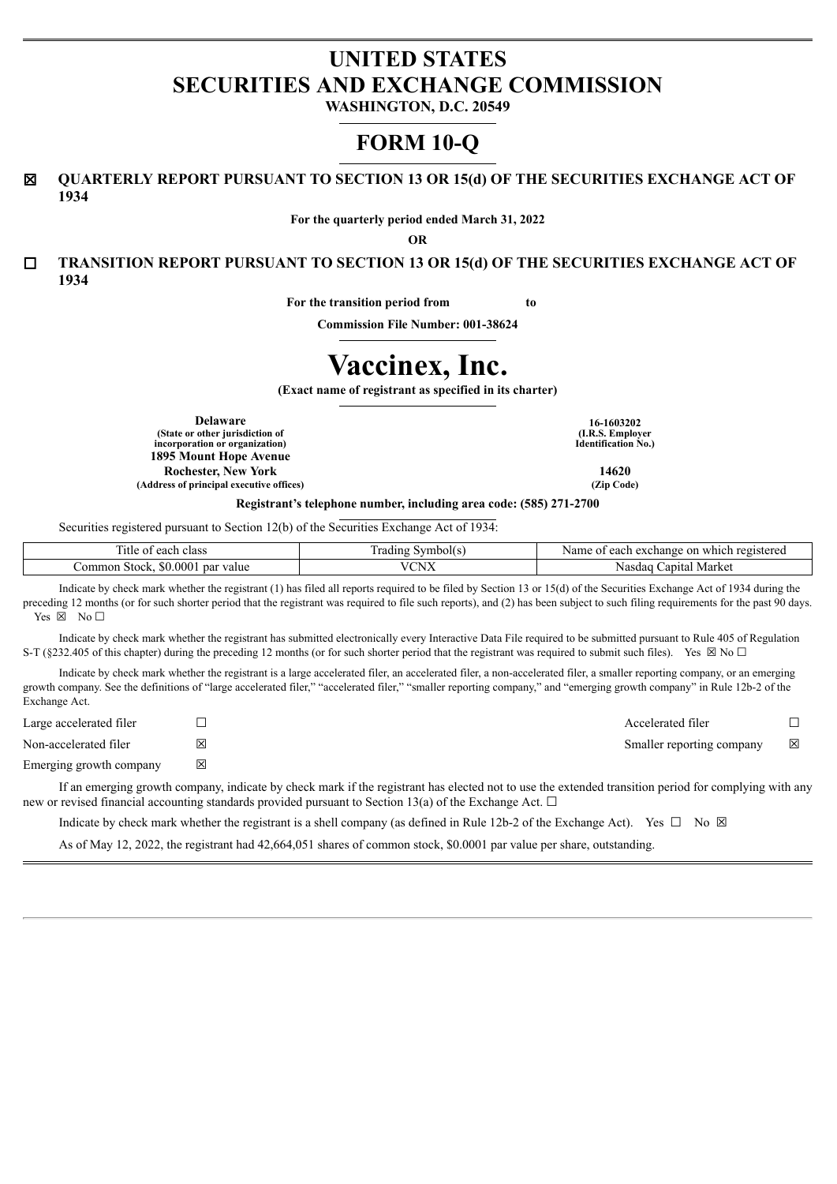# **UNITED STATES SECURITIES AND EXCHANGE COMMISSION**

**WASHINGTON, D.C. 20549**

# **FORM 10-Q**

# ☒ **QUARTERLY REPORT PURSUANT TO SECTION 13 OR 15(d) OF THE SECURITIES EXCHANGE ACT OF 1934**

**For the quarterly period ended March 31, 2022**

**OR**

☐ **TRANSITION REPORT PURSUANT TO SECTION 13 OR 15(d) OF THE SECURITIES EXCHANGE ACT OF 1934**

**For the transition period from to**

**Commission File Number: 001-38624**

# **Vaccinex, Inc.**

**(Exact name of registrant as specified in its charter)**

**Delaware 16-1603202 (State or other jurisdiction of incorporation or organization) 1895 Mount Hope Avenue Rochester, New York 14620 (Address of principal executive offices) (Zip Code)**

**(I.R.S. Employer Identification No.)**

**Registrant's telephone number, including area code: (585) 271-2700**

Securities registered pursuant to Section 12(b) of the Securities Exchange Act of 1934:

| --<br>class<br>000<br>1U)<br>сасн                                        | $\sim$<br>vmbolt       | registered<br>anok<br>exchange<br>on<br>$\sim$<br>which.<br>vame<br>-саст.<br>., |
|--------------------------------------------------------------------------|------------------------|----------------------------------------------------------------------------------|
| $.000^{\circ}$<br>par<br>.ommon<br>value<br>$+$ tool $\epsilon$<br>эпек. | $\sim$<br>17 T<br>- 12 | Marke<br>∠apıtal<br>Nasdac                                                       |

Indicate by check mark whether the registrant (1) has filed all reports required to be filed by Section 13 or 15(d) of the Securities Exchange Act of 1934 during the preceding 12 months (or for such shorter period that the registrant was required to file such reports), and (2) has been subject to such filing requirements for the past 90 days. Yes ⊠ No □

Indicate by check mark whether the registrant has submitted electronically every Interactive Data File required to be submitted pursuant to Rule 405 of Regulation S-T (§232.405 of this chapter) during the preceding 12 months (or for such shorter period that the registrant was required to submit such files). Yes  $\boxtimes$  No  $\Box$ 

Indicate by check mark whether the registrant is a large accelerated filer, an accelerated filer, a non-accelerated filer, a smaller reporting company, or an emerging growth company. See the definitions of "large accelerated filer," "accelerated filer," "smaller reporting company," and "emerging growth company" in Rule 12b-2 of the Exchange Act.

| Large accelerated filer |   | Accelerated filer         |   |
|-------------------------|---|---------------------------|---|
| Non-accelerated filer   |   | Smaller reporting company | 区 |
| Emerging growth company | ⊠ |                           |   |

If an emerging growth company, indicate by check mark if the registrant has elected not to use the extended transition period for complying with any new or revised financial accounting standards provided pursuant to Section 13(a) of the Exchange Act.  $\Box$ 

Indicate by check mark whether the registrant is a shell company (as defined in Rule 12b-2 of the Exchange Act). Yes  $\Box$  No  $\boxtimes$ 

As of May 12, 2022, the registrant had 42,664,051 shares of common stock, \$0.0001 par value per share, outstanding.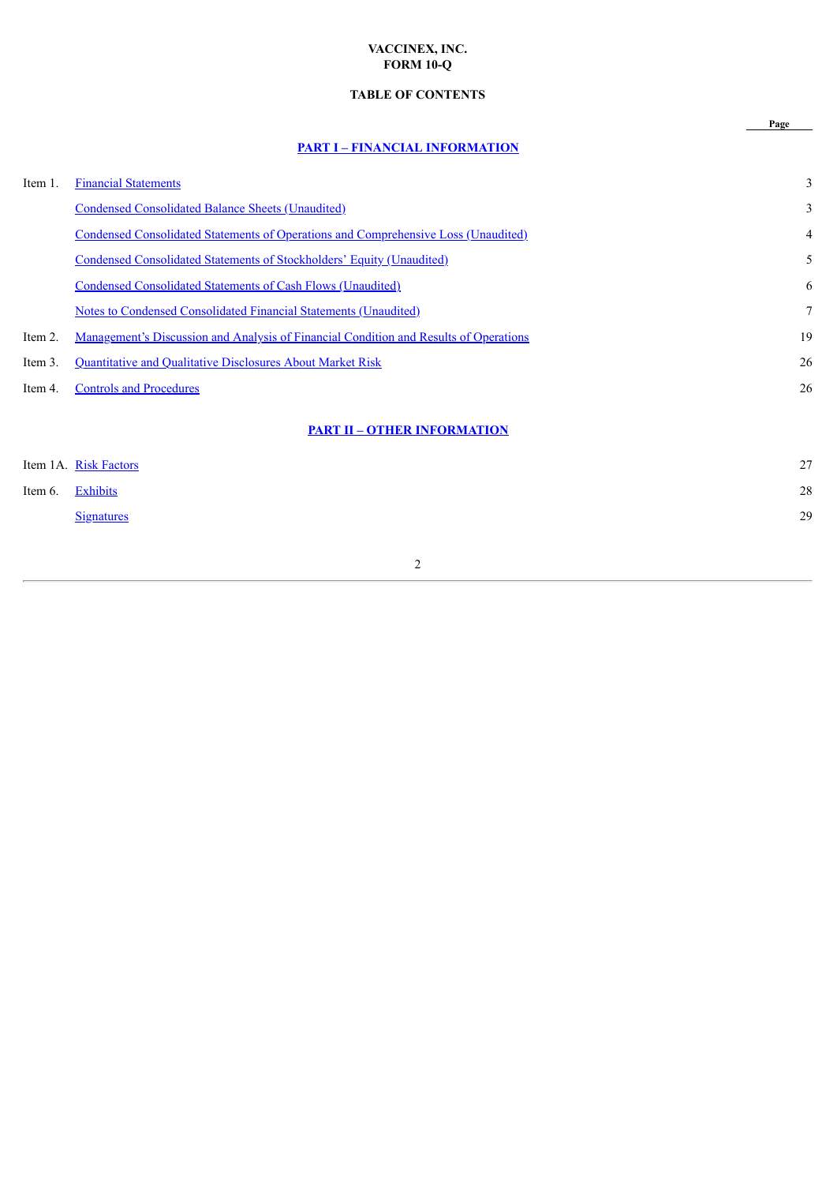# **VACCINEX, INC. FORM 10-Q**

# **TABLE OF CONTENTS**

**Page**

 $\overline{a}$ 

# **PART I – FINANCIAL [INFORMATION](#page-2-0)**

| Item 1. | <b>Financial Statements</b>                                                               | 3              |
|---------|-------------------------------------------------------------------------------------------|----------------|
|         | <b>Condensed Consolidated Balance Sheets (Unaudited)</b>                                  | 3              |
|         | <b>Condensed Consolidated Statements of Operations and Comprehensive Loss (Unaudited)</b> | $\overline{4}$ |
|         | <b>Condensed Consolidated Statements of Stockholders' Equity (Unaudited)</b>              | 5              |
|         | <b>Condensed Consolidated Statements of Cash Flows (Unaudited)</b>                        | 6              |
|         | <b>Notes to Condensed Consolidated Financial Statements (Unaudited)</b>                   | $\tau$         |
| Item 2. | Management's Discussion and Analysis of Financial Condition and Results of Operations     | 19             |
| Item 3. | Quantitative and Qualitative Disclosures About Market Risk                                | 26             |
| Item 4. | <b>Controls and Procedures</b>                                                            | 26             |
|         | <b>PART II - OTHER INFORMATION</b>                                                        |                |
|         | Item 1A. Risk Factors                                                                     | 27             |
| Item 6. | Exhibits                                                                                  | 28             |
|         | <b>Signatures</b>                                                                         | 29             |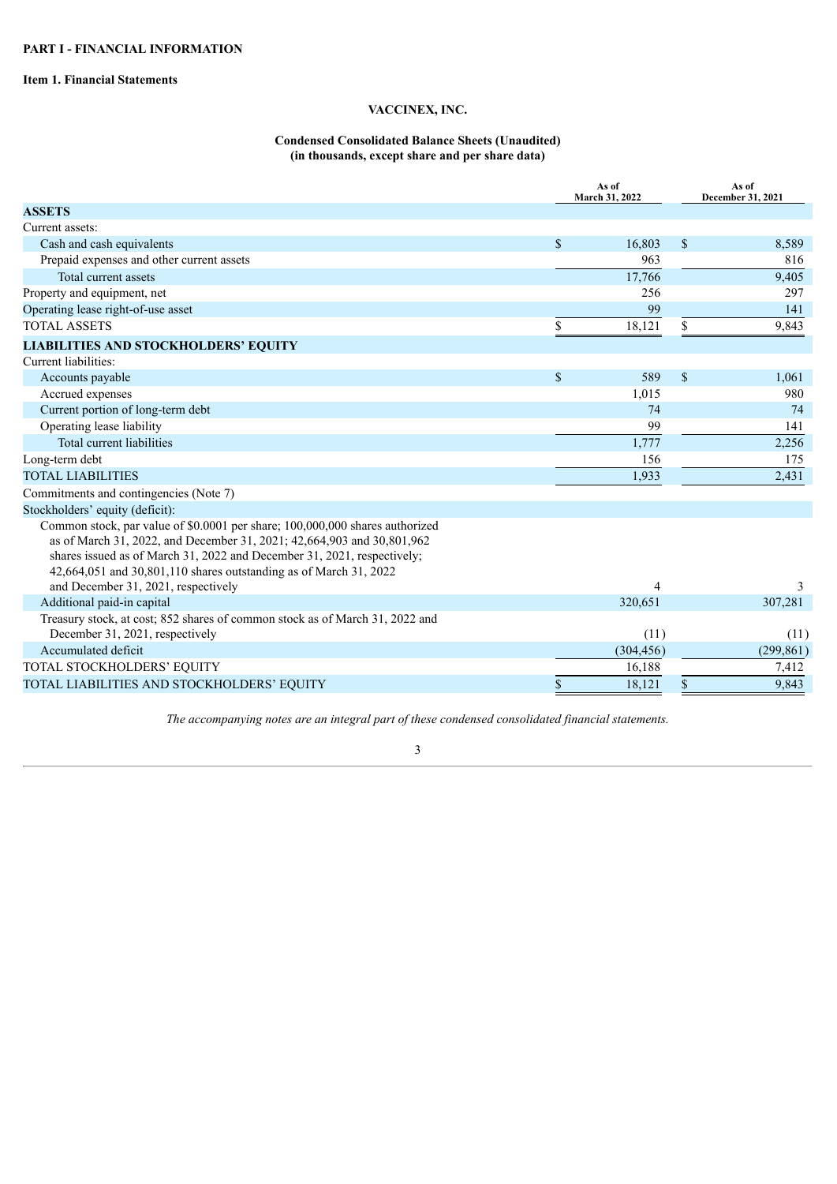#### <span id="page-2-1"></span><span id="page-2-0"></span>**Item 1. Financial Statements**

# **VACCINEX, INC.**

# **Condensed Consolidated Balance Sheets (Unaudited) (in thousands, except share and per share data)**

<span id="page-2-2"></span>

|                                                                                                                                                                                                                                                                                                            |             | As of<br>March 31, 2022 | As of<br>December 31, 2021 |               |  |
|------------------------------------------------------------------------------------------------------------------------------------------------------------------------------------------------------------------------------------------------------------------------------------------------------------|-------------|-------------------------|----------------------------|---------------|--|
| <b>ASSETS</b>                                                                                                                                                                                                                                                                                              |             |                         |                            |               |  |
| Current assets:                                                                                                                                                                                                                                                                                            |             |                         |                            |               |  |
| Cash and cash equivalents                                                                                                                                                                                                                                                                                  | $\mathbf S$ | 16,803                  | $\mathbf S$                | 8,589         |  |
| Prepaid expenses and other current assets                                                                                                                                                                                                                                                                  |             | 963                     |                            | 816           |  |
| Total current assets                                                                                                                                                                                                                                                                                       |             | 17,766                  |                            | 9,405         |  |
| Property and equipment, net                                                                                                                                                                                                                                                                                |             | 256                     |                            | 297           |  |
| Operating lease right-of-use asset                                                                                                                                                                                                                                                                         |             | 99                      |                            | 141           |  |
| <b>TOTAL ASSETS</b>                                                                                                                                                                                                                                                                                        | \$          | 18,121                  | \$                         | 9,843         |  |
| <b>LIABILITIES AND STOCKHOLDERS' EQUITY</b>                                                                                                                                                                                                                                                                |             |                         |                            |               |  |
| Current liabilities:                                                                                                                                                                                                                                                                                       |             |                         |                            |               |  |
| Accounts payable                                                                                                                                                                                                                                                                                           | $\mathbf S$ | 589                     | $\mathsf{\$}$              | 1,061         |  |
| Accrued expenses                                                                                                                                                                                                                                                                                           |             | 1,015                   |                            | 980           |  |
| Current portion of long-term debt                                                                                                                                                                                                                                                                          |             | 74                      |                            | 74            |  |
| Operating lease liability                                                                                                                                                                                                                                                                                  |             | 99                      |                            | 141           |  |
| Total current liabilities                                                                                                                                                                                                                                                                                  |             | 1,777                   |                            | 2,256         |  |
| Long-term debt                                                                                                                                                                                                                                                                                             |             | 156                     |                            | 175           |  |
| <b>TOTAL LIABILITIES</b>                                                                                                                                                                                                                                                                                   |             | 1,933                   |                            | 2,431         |  |
| Commitments and contingencies (Note 7)                                                                                                                                                                                                                                                                     |             |                         |                            |               |  |
| Stockholders' equity (deficit):                                                                                                                                                                                                                                                                            |             |                         |                            |               |  |
| Common stock, par value of \$0.0001 per share; 100,000,000 shares authorized<br>as of March 31, 2022, and December 31, 2021; 42, 664, 903 and 30, 801, 962<br>shares issued as of March 31, 2022 and December 31, 2021, respectively;<br>42,664,051 and 30,801,110 shares outstanding as of March 31, 2022 |             |                         |                            |               |  |
| and December 31, 2021, respectively                                                                                                                                                                                                                                                                        |             | $\overline{4}$          |                            | $\mathcal{E}$ |  |
| Additional paid-in capital                                                                                                                                                                                                                                                                                 |             | 320,651                 |                            | 307,281       |  |
| Treasury stock, at cost; 852 shares of common stock as of March 31, 2022 and<br>December 31, 2021, respectively                                                                                                                                                                                            |             | (11)                    |                            | (11)          |  |
| Accumulated deficit                                                                                                                                                                                                                                                                                        |             | (304, 456)              |                            | (299, 861)    |  |
| TOTAL STOCKHOLDERS' EQUITY                                                                                                                                                                                                                                                                                 |             | 16,188                  |                            | 7,412         |  |
| TOTAL LIABILITIES AND STOCKHOLDERS' EQUITY                                                                                                                                                                                                                                                                 | \$          | 18,121                  | S                          | 9,843         |  |

*The accompanying notes are an integral part of these condensed consolidated financial statements.*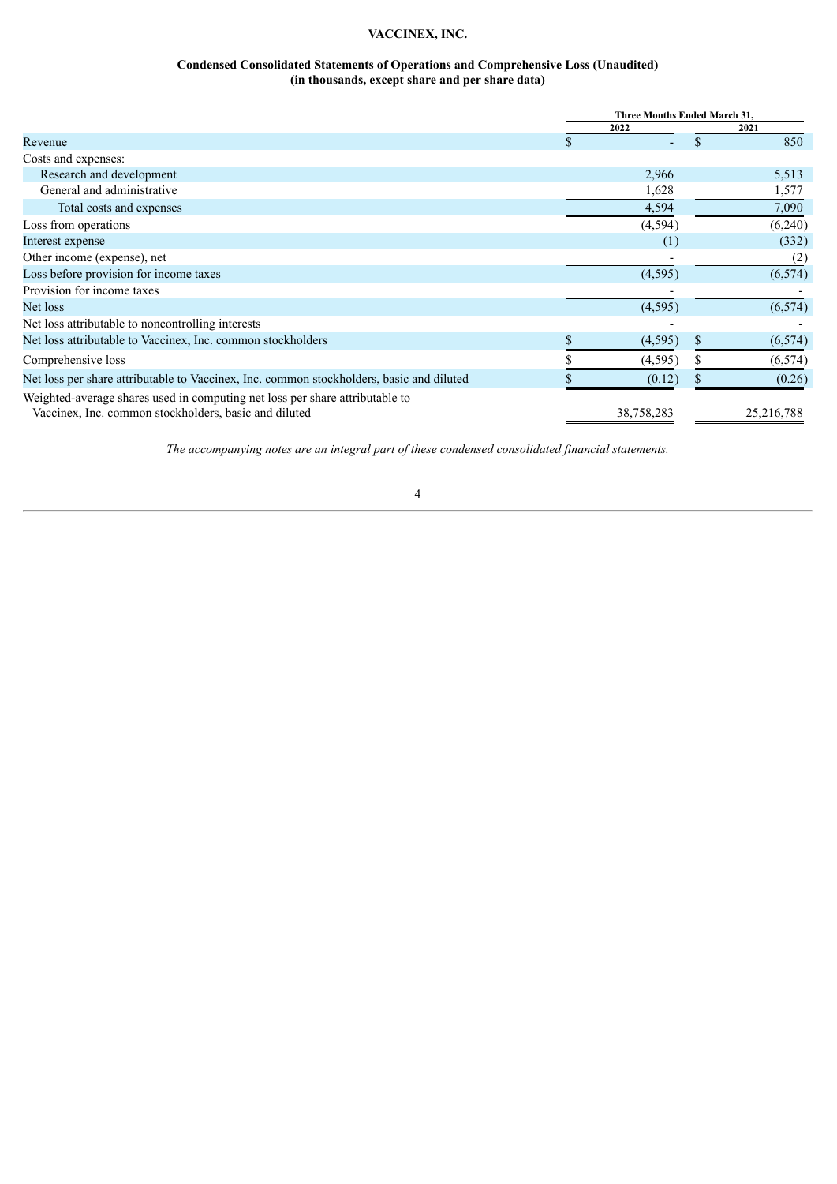# **Condensed Consolidated Statements of Operations and Comprehensive Loss (Unaudited) (in thousands, except share and per share data)**

<span id="page-3-0"></span>

|                                                                                          | Three Months Ended March 31, |            |   |            |  |  |  |  |  |
|------------------------------------------------------------------------------------------|------------------------------|------------|---|------------|--|--|--|--|--|
|                                                                                          |                              | 2022       |   | 2021       |  |  |  |  |  |
| Revenue                                                                                  |                              |            | S | 850        |  |  |  |  |  |
| Costs and expenses:                                                                      |                              |            |   |            |  |  |  |  |  |
| Research and development                                                                 |                              | 2,966      |   | 5,513      |  |  |  |  |  |
| General and administrative                                                               |                              | 1,628      |   | 1,577      |  |  |  |  |  |
| Total costs and expenses                                                                 |                              | 4,594      |   | 7,090      |  |  |  |  |  |
| Loss from operations                                                                     |                              | (4,594)    |   | (6,240)    |  |  |  |  |  |
| Interest expense                                                                         |                              | (1)        |   | (332)      |  |  |  |  |  |
| Other income (expense), net                                                              |                              |            |   | (2)        |  |  |  |  |  |
| Loss before provision for income taxes                                                   |                              | (4, 595)   |   | (6, 574)   |  |  |  |  |  |
| Provision for income taxes                                                               |                              |            |   |            |  |  |  |  |  |
| Net loss                                                                                 |                              | (4, 595)   |   | (6,574)    |  |  |  |  |  |
| Net loss attributable to noncontrolling interests                                        |                              |            |   |            |  |  |  |  |  |
| Net loss attributable to Vaccinex, Inc. common stockholders                              |                              | (4,595)    |   | (6, 574)   |  |  |  |  |  |
| Comprehensive loss                                                                       |                              | (4, 595)   |   | (6, 574)   |  |  |  |  |  |
| Net loss per share attributable to Vaccinex, Inc. common stockholders, basic and diluted |                              | (0.12)     |   | (0.26)     |  |  |  |  |  |
| Weighted-average shares used in computing net loss per share attributable to             |                              |            |   |            |  |  |  |  |  |
| Vaccinex, Inc. common stockholders, basic and diluted                                    |                              | 38,758,283 |   | 25,216,788 |  |  |  |  |  |

*The accompanying notes are an integral part of these condensed consolidated financial statements.*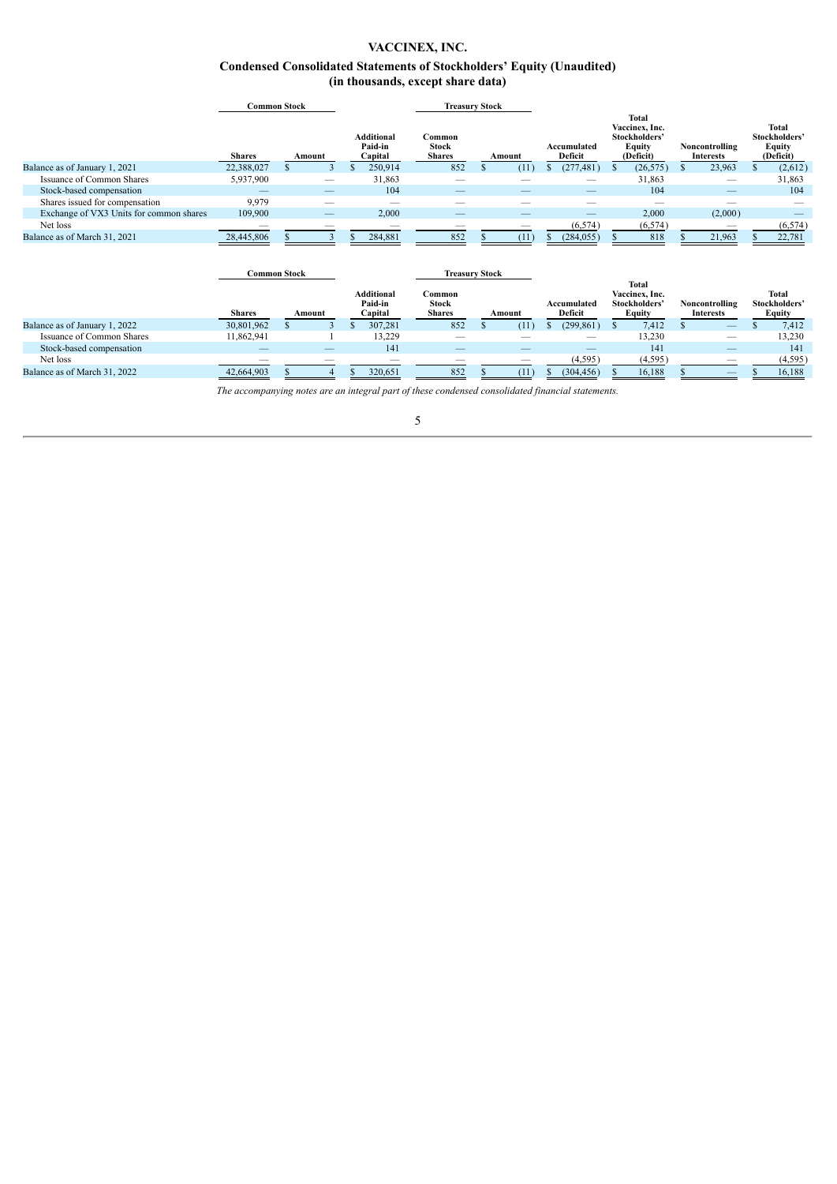# **Condensed Consolidated Statements of Stockholders' Equity (Unaudited) (in thousands, except share data)**

<span id="page-4-0"></span>

|                                         | Common Stock  |        |                                         |                                         | <b>Treasury Stock</b> |        |                        |                                                                 |                                    |                                                      |
|-----------------------------------------|---------------|--------|-----------------------------------------|-----------------------------------------|-----------------------|--------|------------------------|-----------------------------------------------------------------|------------------------------------|------------------------------------------------------|
|                                         | <b>Shares</b> | Amount | <b>Additional</b><br>Paid-in<br>Capital | Common<br><b>Stock</b><br><b>Shares</b> |                       | Amount | Accumulated<br>Deficit | Total<br>Vaccinex. Inc.<br>Stockholders'<br>Equity<br>(Deficit) | Noncontrolling<br><b>Interests</b> | Total<br>Stockholders'<br><b>Equity</b><br>(Deficit) |
| Balance as of January 1, 2021           | 22.388.027    |        | 250.914                                 | 852                                     |                       | (11)   | (277, 481)             | (26, 575)                                                       | 23,963                             | (2,612)                                              |
| Issuance of Common Shares               | 5,937,900     |        | 31,863                                  |                                         |                       |        |                        | 31,863                                                          | –                                  | 31,863                                               |
| Stock-based compensation                |               |        | 104                                     |                                         |                       |        |                        | 104                                                             |                                    | 104                                                  |
| Shares issued for compensation          | 9,979         |        |                                         |                                         |                       |        |                        |                                                                 |                                    |                                                      |
| Exchange of VX3 Units for common shares | 109,900       |        | 2,000                                   | $-$                                     |                       |        |                        | 2,000                                                           | (2,000)                            |                                                      |
| Net loss                                |               |        |                                         |                                         |                       |        | (6,574)                | (6, 574)                                                        |                                    | (6, 574)                                             |
| Balance as of March 31, 2021            | 28,445,806    |        | 284,881                                 | 852                                     |                       |        | (284, 055)             | 818                                                             | 21,963                             | 22,781                                               |

|                                  |               | Common Stock |                          |                                         |                                         | <b>Treasury Stock</b> |        |  |                        |                                                    |                                    |                                         |
|----------------------------------|---------------|--------------|--------------------------|-----------------------------------------|-----------------------------------------|-----------------------|--------|--|------------------------|----------------------------------------------------|------------------------------------|-----------------------------------------|
|                                  | <b>Shares</b> |              | Amount                   | <b>Additional</b><br>Paid-in<br>Capital | Common<br><b>Stock</b><br><b>Shares</b> |                       | Amount |  | Accumulated<br>Deficit | Total<br>Vaccinex. Inc.<br>Stockholders'<br>Equity | Noncontrolling<br><b>Interests</b> | Total<br>Stockholders'<br><b>Equity</b> |
| Balance as of January 1, 2022    | 30,801,962    |              |                          | 307.281                                 | 852                                     |                       | (11)   |  | (299, 861)             | 7,412                                              | —                                  | 7.412                                   |
| <b>Issuance of Common Shares</b> | 11,862,941    |              |                          | 13,229                                  |                                         |                       |        |  |                        | 13,230                                             | —                                  | 13,230                                  |
| Stock-based compensation         |               |              | $\overline{\phantom{a}}$ | 141                                     |                                         |                       |        |  | _                      | 141                                                | –                                  | 141                                     |
| Net loss                         |               |              |                          |                                         |                                         |                       |        |  | (4,595)                | (4,595)                                            |                                    | (4,595)                                 |
| Balance as of March 31, 2022     | 42,664,903    |              |                          | 320,651                                 | 852                                     |                       | `11    |  | (304, 456)             | 16,188                                             |                                    | 16,188                                  |

*The accompanying notes are an integral part of these condensed consolidated financial statements.*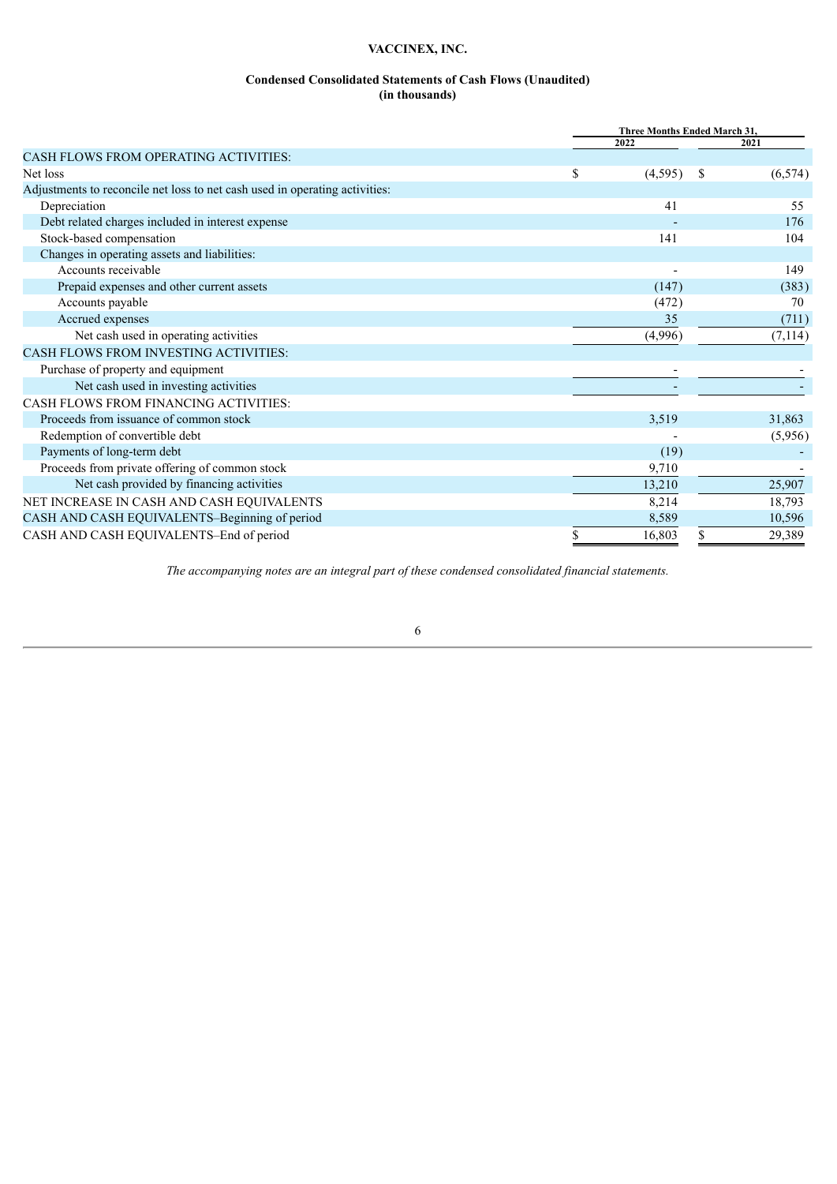#### **Condensed Consolidated Statements of Cash Flows (Unaudited) (in thousands)**

<span id="page-5-0"></span>

|                                                                             | Three Months Ended March 31, |    |          |  |  |  |  |  |
|-----------------------------------------------------------------------------|------------------------------|----|----------|--|--|--|--|--|
|                                                                             | 2022                         |    | 2021     |  |  |  |  |  |
| <b>CASH FLOWS FROM OPERATING ACTIVITIES:</b>                                |                              |    |          |  |  |  |  |  |
| Net loss                                                                    | \$<br>(4,595)                | S  | (6, 574) |  |  |  |  |  |
| Adjustments to reconcile net loss to net cash used in operating activities: |                              |    |          |  |  |  |  |  |
| Depreciation                                                                | 41                           |    | 55       |  |  |  |  |  |
| Debt related charges included in interest expense                           |                              |    | 176      |  |  |  |  |  |
| Stock-based compensation                                                    | 141                          |    | 104      |  |  |  |  |  |
| Changes in operating assets and liabilities:                                |                              |    |          |  |  |  |  |  |
| Accounts receivable                                                         |                              |    | 149      |  |  |  |  |  |
| Prepaid expenses and other current assets                                   | (147)                        |    | (383)    |  |  |  |  |  |
| Accounts payable                                                            | (472)                        |    | 70       |  |  |  |  |  |
| Accrued expenses                                                            | 35                           |    | (711)    |  |  |  |  |  |
| Net cash used in operating activities                                       | (4,996)                      |    | (7, 114) |  |  |  |  |  |
| CASH FLOWS FROM INVESTING ACTIVITIES:                                       |                              |    |          |  |  |  |  |  |
| Purchase of property and equipment                                          |                              |    |          |  |  |  |  |  |
| Net cash used in investing activities                                       |                              |    |          |  |  |  |  |  |
| CASH FLOWS FROM FINANCING ACTIVITIES:                                       |                              |    |          |  |  |  |  |  |
| Proceeds from issuance of common stock                                      | 3,519                        |    | 31,863   |  |  |  |  |  |
| Redemption of convertible debt                                              |                              |    | (5,956)  |  |  |  |  |  |
| Payments of long-term debt                                                  | (19)                         |    |          |  |  |  |  |  |
| Proceeds from private offering of common stock                              | 9,710                        |    |          |  |  |  |  |  |
| Net cash provided by financing activities                                   | 13,210                       |    | 25,907   |  |  |  |  |  |
| NET INCREASE IN CASH AND CASH EQUIVALENTS                                   | 8,214                        |    | 18,793   |  |  |  |  |  |
| CASH AND CASH EQUIVALENTS-Beginning of period                               | 8,589                        |    | 10,596   |  |  |  |  |  |
| CASH AND CASH EQUIVALENTS-End of period                                     | \$<br>16,803                 | \$ | 29,389   |  |  |  |  |  |

*The accompanying notes are an integral part of these condensed consolidated financial statements.*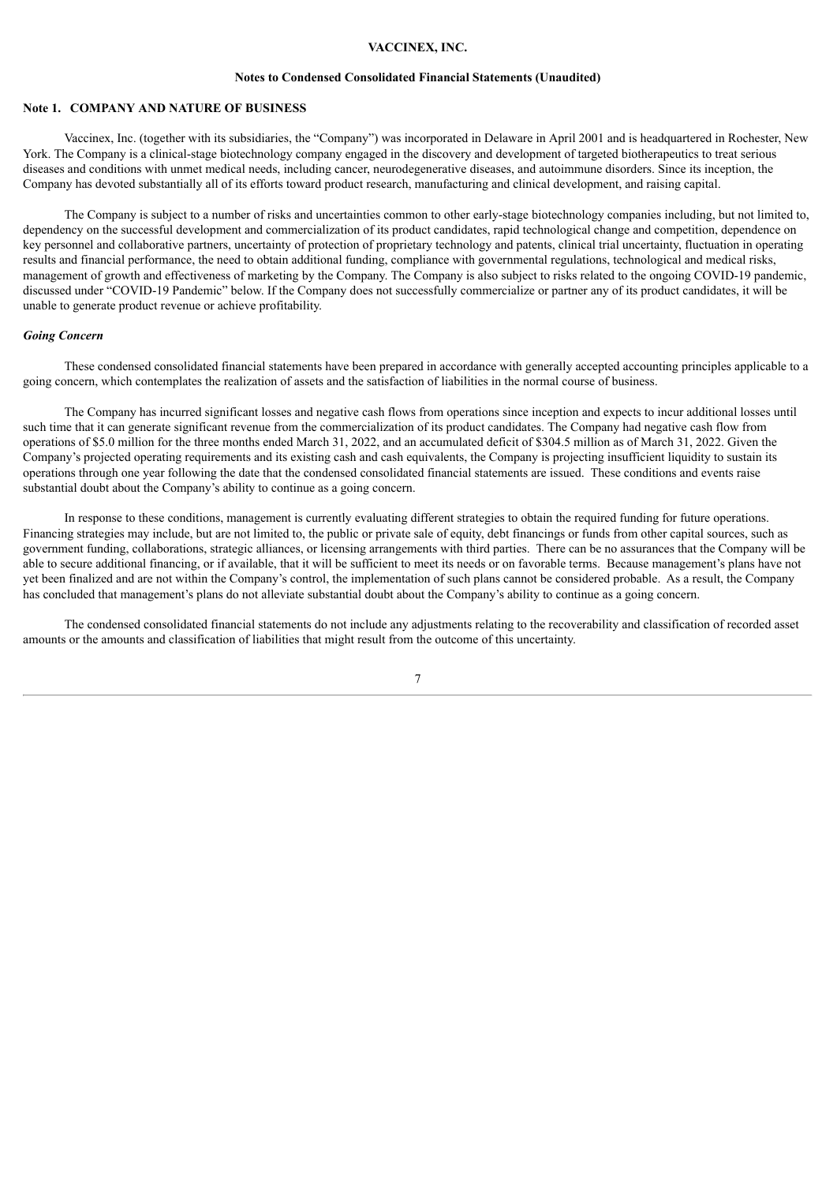#### **Notes to Condensed Consolidated Financial Statements (Unaudited)**

#### <span id="page-6-0"></span>**Note 1. COMPANY AND NATURE OF BUSINESS**

Vaccinex, Inc. (together with its subsidiaries, the "Company") was incorporated in Delaware in April 2001 and is headquartered in Rochester, New York. The Company is a clinical-stage biotechnology company engaged in the discovery and development of targeted biotherapeutics to treat serious diseases and conditions with unmet medical needs, including cancer, neurodegenerative diseases, and autoimmune disorders. Since its inception, the Company has devoted substantially all of its efforts toward product research, manufacturing and clinical development, and raising capital.

The Company is subject to a number of risks and uncertainties common to other early-stage biotechnology companies including, but not limited to, dependency on the successful development and commercialization of its product candidates, rapid technological change and competition, dependence on key personnel and collaborative partners, uncertainty of protection of proprietary technology and patents, clinical trial uncertainty, fluctuation in operating results and financial performance, the need to obtain additional funding, compliance with governmental regulations, technological and medical risks, management of growth and effectiveness of marketing by the Company. The Company is also subject to risks related to the ongoing COVID-19 pandemic, discussed under "COVID-19 Pandemic" below. If the Company does not successfully commercialize or partner any of its product candidates, it will be unable to generate product revenue or achieve profitability.

#### *Going Concern*

These condensed consolidated financial statements have been prepared in accordance with generally accepted accounting principles applicable to a going concern, which contemplates the realization of assets and the satisfaction of liabilities in the normal course of business.

The Company has incurred significant losses and negative cash flows from operations since inception and expects to incur additional losses until such time that it can generate significant revenue from the commercialization of its product candidates. The Company had negative cash flow from operations of \$5.0 million for the three months ended March 31, 2022, and an accumulated deficit of \$304.5 million as of March 31, 2022. Given the Company's projected operating requirements and its existing cash and cash equivalents, the Company is projecting insufficient liquidity to sustain its operations through one year following the date that the condensed consolidated financial statements are issued. These conditions and events raise substantial doubt about the Company's ability to continue as a going concern.

In response to these conditions, management is currently evaluating different strategies to obtain the required funding for future operations. Financing strategies may include, but are not limited to, the public or private sale of equity, debt financings or funds from other capital sources, such as government funding, collaborations, strategic alliances, or licensing arrangements with third parties. There can be no assurances that the Company will be able to secure additional financing, or if available, that it will be sufficient to meet its needs or on favorable terms. Because management's plans have not yet been finalized and are not within the Company's control, the implementation of such plans cannot be considered probable. As a result, the Company has concluded that management's plans do not alleviate substantial doubt about the Company's ability to continue as a going concern.

The condensed consolidated financial statements do not include any adjustments relating to the recoverability and classification of recorded asset amounts or the amounts and classification of liabilities that might result from the outcome of this uncertainty.

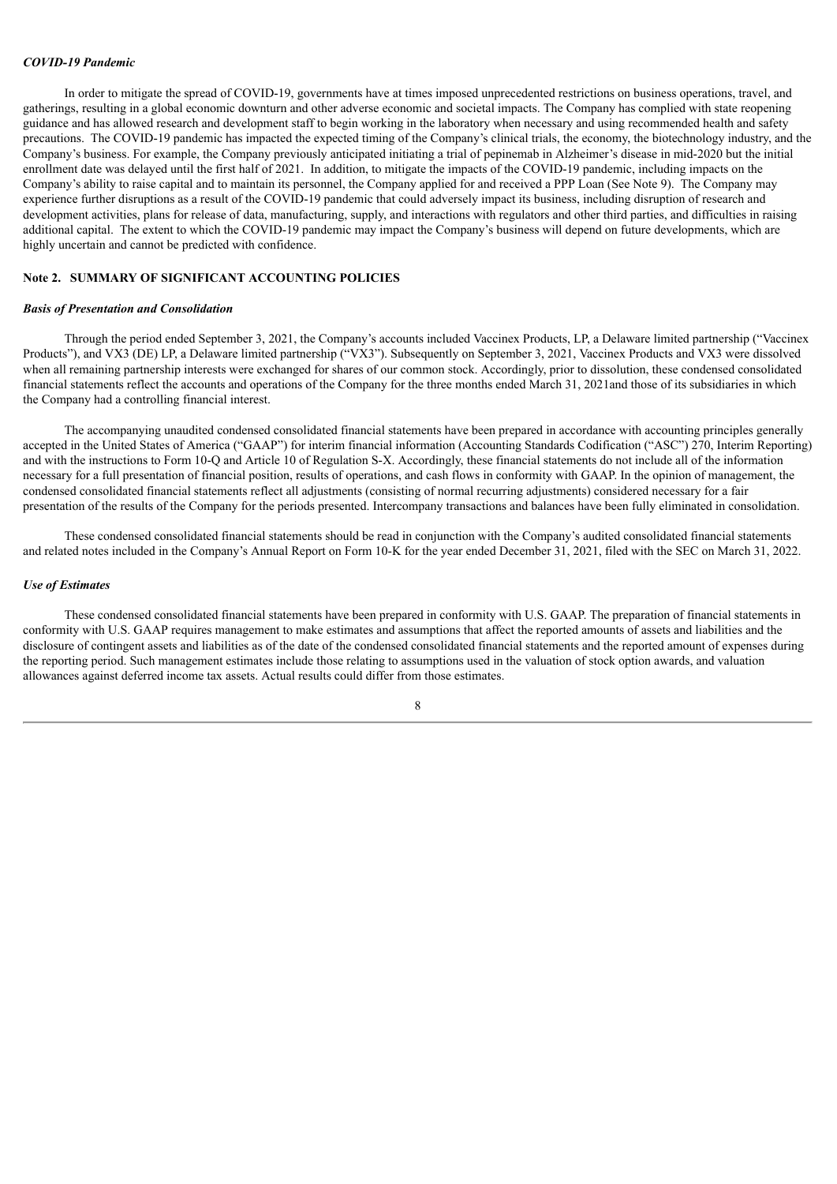#### *COVID-19 Pandemic*

In order to mitigate the spread of COVID-19, governments have at times imposed unprecedented restrictions on business operations, travel, and gatherings, resulting in a global economic downturn and other adverse economic and societal impacts. The Company has complied with state reopening guidance and has allowed research and development staff to begin working in the laboratory when necessary and using recommended health and safety precautions. The COVID-19 pandemic has impacted the expected timing of the Company's clinical trials, the economy, the biotechnology industry, and the Company's business. For example, the Company previously anticipated initiating a trial of pepinemab in Alzheimer's disease in mid-2020 but the initial enrollment date was delayed until the first half of 2021. In addition, to mitigate the impacts of the COVID-19 pandemic, including impacts on the Company's ability to raise capital and to maintain its personnel, the Company applied for and received a PPP Loan (See Note 9). The Company may experience further disruptions as a result of the COVID-19 pandemic that could adversely impact its business, including disruption of research and development activities, plans for release of data, manufacturing, supply, and interactions with regulators and other third parties, and difficulties in raising additional capital. The extent to which the COVID-19 pandemic may impact the Company's business will depend on future developments, which are highly uncertain and cannot be predicted with confidence.

# **Note 2. SUMMARY OF SIGNIFICANT ACCOUNTING POLICIES**

#### *Basis of Presentation and Consolidation*

Through the period ended September 3, 2021, the Company's accounts included Vaccinex Products, LP, a Delaware limited partnership ("Vaccinex Products"), and VX3 (DE) LP, a Delaware limited partnership ("VX3"). Subsequently on September 3, 2021, Vaccinex Products and VX3 were dissolved when all remaining partnership interests were exchanged for shares of our common stock. Accordingly, prior to dissolution, these condensed consolidated financial statements reflect the accounts and operations of the Company for the three months ended March 31, 2021and those of its subsidiaries in which the Company had a controlling financial interest.

The accompanying unaudited condensed consolidated financial statements have been prepared in accordance with accounting principles generally accepted in the United States of America ("GAAP") for interim financial information (Accounting Standards Codification ("ASC") 270, Interim Reporting) and with the instructions to Form 10-Q and Article 10 of Regulation S-X. Accordingly, these financial statements do not include all of the information necessary for a full presentation of financial position, results of operations, and cash flows in conformity with GAAP. In the opinion of management, the condensed consolidated financial statements reflect all adjustments (consisting of normal recurring adjustments) considered necessary for a fair presentation of the results of the Company for the periods presented. Intercompany transactions and balances have been fully eliminated in consolidation.

These condensed consolidated financial statements should be read in conjunction with the Company's audited consolidated financial statements and related notes included in the Company's Annual Report on Form 10-K for the year ended December 31, 2021, filed with the SEC on March 31, 2022.

#### *Use of Estimates*

These condensed consolidated financial statements have been prepared in conformity with U.S. GAAP. The preparation of financial statements in conformity with U.S. GAAP requires management to make estimates and assumptions that affect the reported amounts of assets and liabilities and the disclosure of contingent assets and liabilities as of the date of the condensed consolidated financial statements and the reported amount of expenses during the reporting period. Such management estimates include those relating to assumptions used in the valuation of stock option awards, and valuation allowances against deferred income tax assets. Actual results could differ from those estimates.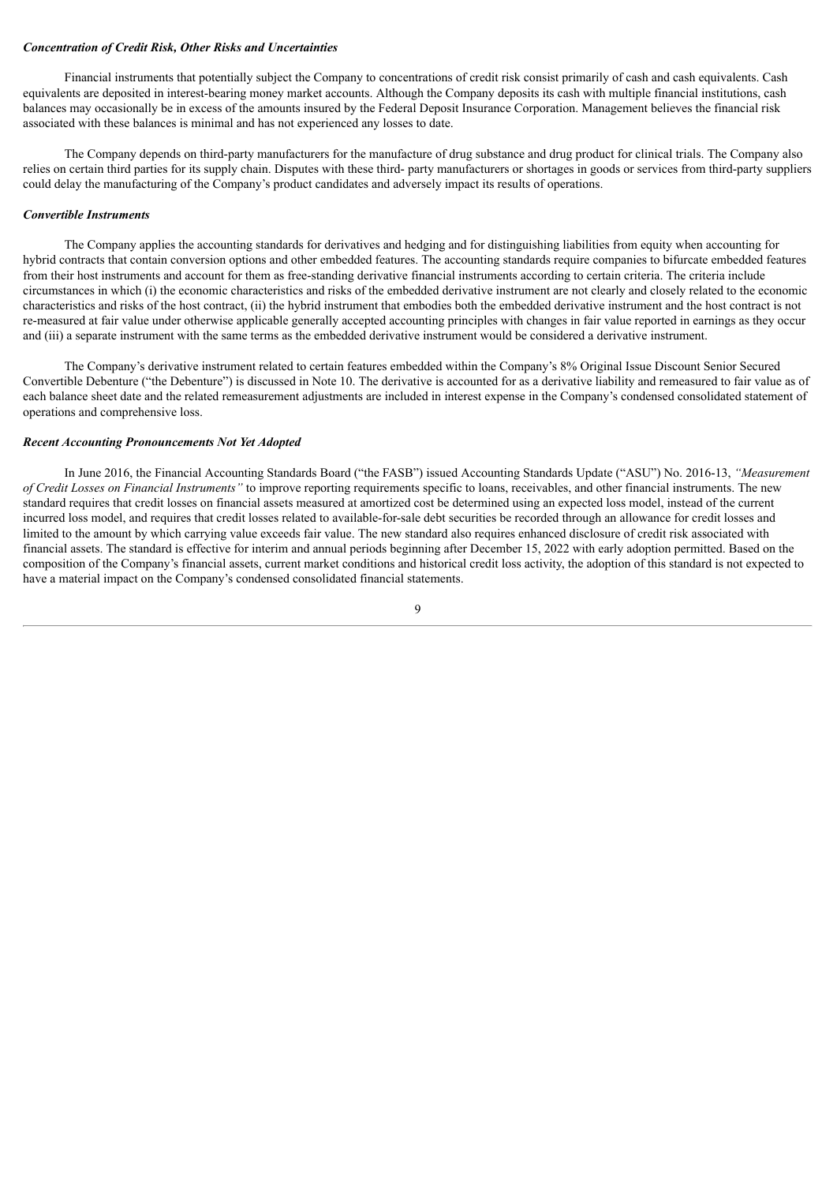#### *Concentration of Credit Risk, Other Risks and Uncertainties*

Financial instruments that potentially subject the Company to concentrations of credit risk consist primarily of cash and cash equivalents. Cash equivalents are deposited in interest-bearing money market accounts. Although the Company deposits its cash with multiple financial institutions, cash balances may occasionally be in excess of the amounts insured by the Federal Deposit Insurance Corporation. Management believes the financial risk associated with these balances is minimal and has not experienced any losses to date.

The Company depends on third-party manufacturers for the manufacture of drug substance and drug product for clinical trials. The Company also relies on certain third parties for its supply chain. Disputes with these third- party manufacturers or shortages in goods or services from third-party suppliers could delay the manufacturing of the Company's product candidates and adversely impact its results of operations.

#### *Convertible Instruments*

The Company applies the accounting standards for derivatives and hedging and for distinguishing liabilities from equity when accounting for hybrid contracts that contain conversion options and other embedded features. The accounting standards require companies to bifurcate embedded features from their host instruments and account for them as free-standing derivative financial instruments according to certain criteria. The criteria include circumstances in which (i) the economic characteristics and risks of the embedded derivative instrument are not clearly and closely related to the economic characteristics and risks of the host contract, (ii) the hybrid instrument that embodies both the embedded derivative instrument and the host contract is not re-measured at fair value under otherwise applicable generally accepted accounting principles with changes in fair value reported in earnings as they occur and (iii) a separate instrument with the same terms as the embedded derivative instrument would be considered a derivative instrument.

The Company's derivative instrument related to certain features embedded within the Company's 8% Original Issue Discount Senior Secured Convertible Debenture ("the Debenture") is discussed in Note 10. The derivative is accounted for as a derivative liability and remeasured to fair value as of each balance sheet date and the related remeasurement adjustments are included in interest expense in the Company's condensed consolidated statement of operations and comprehensive loss.

#### *Recent Accounting Pronouncements Not Yet Adopted*

In June 2016, the Financial Accounting Standards Board ("the FASB") issued Accounting Standards Update ("ASU") No. 2016-13, *"Measurement of Credit Losses on Financial Instruments"* to improve reporting requirements specific to loans, receivables, and other financial instruments. The new standard requires that credit losses on financial assets measured at amortized cost be determined using an expected loss model, instead of the current incurred loss model, and requires that credit losses related to available-for-sale debt securities be recorded through an allowance for credit losses and limited to the amount by which carrying value exceeds fair value. The new standard also requires enhanced disclosure of credit risk associated with financial assets. The standard is effective for interim and annual periods beginning after December 15, 2022 with early adoption permitted. Based on the composition of the Company's financial assets, current market conditions and historical credit loss activity, the adoption of this standard is not expected to have a material impact on the Company's condensed consolidated financial statements.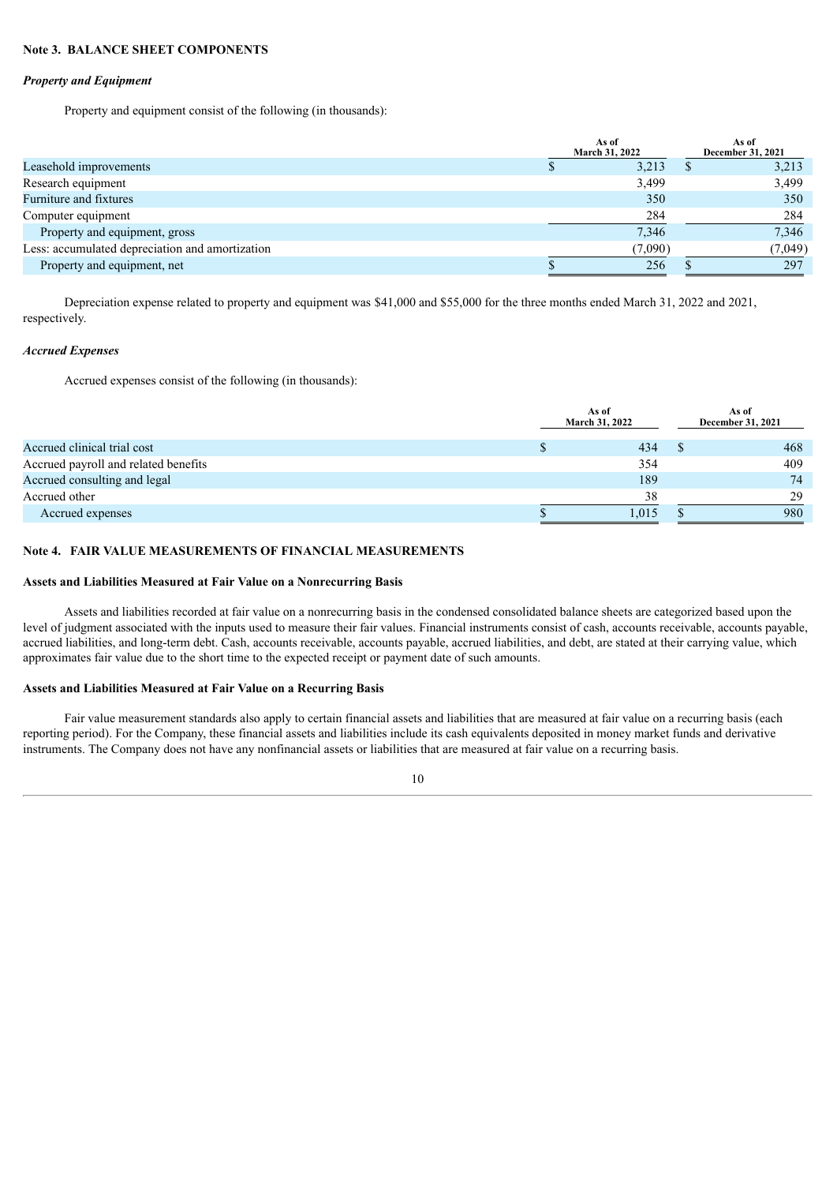#### **Note 3. BALANCE SHEET COMPONENTS**

#### *Property and Equipment*

Property and equipment consist of the following (in thousands):

|                                                 | As of<br><b>March 31, 2022</b> | As of<br>December 31, 2021 |
|-------------------------------------------------|--------------------------------|----------------------------|
| Leasehold improvements                          | 3,213                          | 3,213                      |
| Research equipment                              | 3,499                          | 3,499                      |
| Furniture and fixtures                          | 350                            | 350                        |
| Computer equipment                              | 284                            | 284                        |
| Property and equipment, gross                   | 7,346                          | 7,346                      |
| Less: accumulated depreciation and amortization | (7.090)                        | (7,049)                    |
| Property and equipment, net                     | 256                            | 297                        |

Depreciation expense related to property and equipment was \$41,000 and \$55,000 for the three months ended March 31, 2022 and 2021, respectively.

#### *Accrued Expenses*

Accrued expenses consist of the following (in thousands):

|                                      | As of<br>March 31, 2022 | As of<br>December 31, 2021 |
|--------------------------------------|-------------------------|----------------------------|
| Accrued clinical trial cost          | 434                     | 468                        |
| Accrued payroll and related benefits | 354                     | 409                        |
| Accrued consulting and legal         | 189                     | 74                         |
| Accrued other                        | 38                      | 29                         |
| Accrued expenses                     | 1.015                   | 980                        |

#### **Note 4. FAIR VALUE MEASUREMENTS OF FINANCIAL MEASUREMENTS**

#### **Assets and Liabilities Measured at Fair Value on a Nonrecurring Basis**

Assets and liabilities recorded at fair value on a nonrecurring basis in the condensed consolidated balance sheets are categorized based upon the level of judgment associated with the inputs used to measure their fair values. Financial instruments consist of cash, accounts receivable, accounts payable, accrued liabilities, and long-term debt. Cash, accounts receivable, accounts payable, accrued liabilities, and debt, are stated at their carrying value, which approximates fair value due to the short time to the expected receipt or payment date of such amounts.

# **Assets and Liabilities Measured at Fair Value on a Recurring Basis**

Fair value measurement standards also apply to certain financial assets and liabilities that are measured at fair value on a recurring basis (each reporting period). For the Company, these financial assets and liabilities include its cash equivalents deposited in money market funds and derivative instruments. The Company does not have any nonfinancial assets or liabilities that are measured at fair value on a recurring basis.

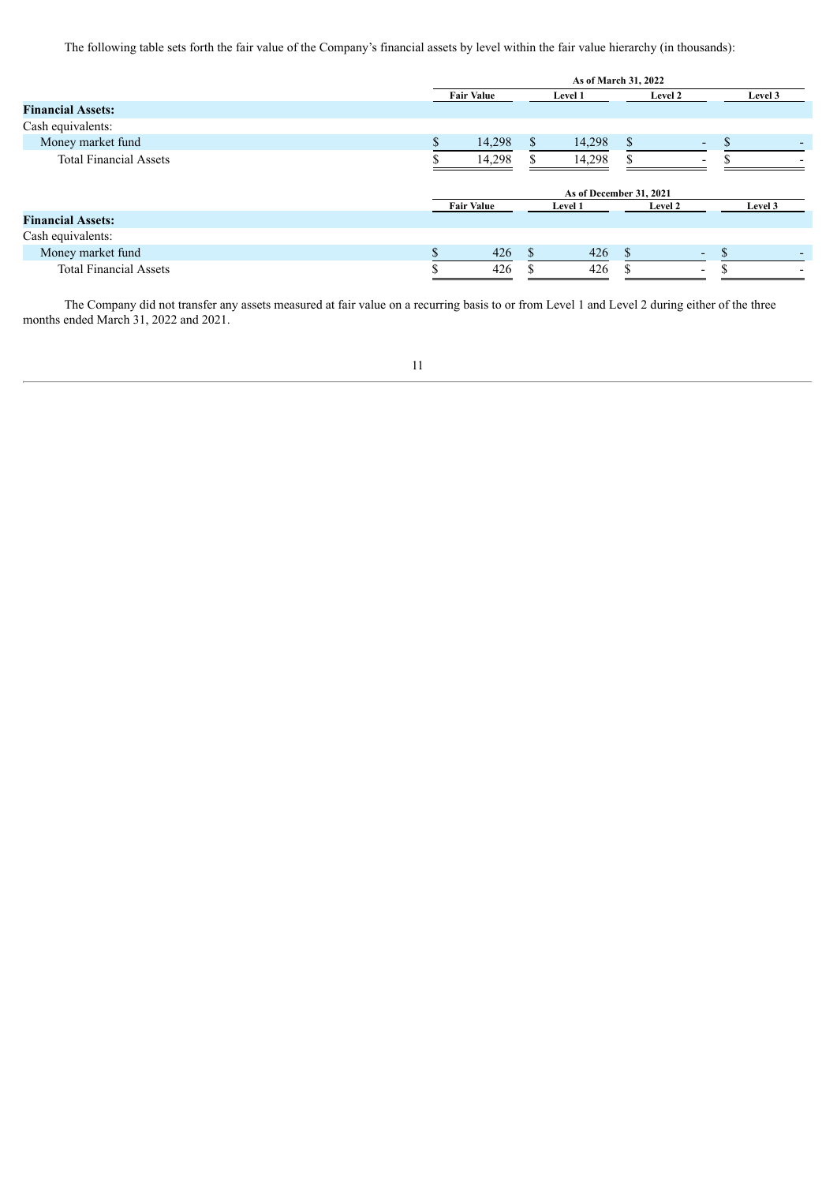The following table sets forth the fair value of the Company's financial assets by level within the fair value hierarchy (in thousands):

|                               | As of March 31, 2022 |                   |               |                         |    |                          |  |         |
|-------------------------------|----------------------|-------------------|---------------|-------------------------|----|--------------------------|--|---------|
|                               | <b>Fair Value</b>    |                   |               | <b>Level 1</b>          |    | Level 2                  |  | Level 3 |
| <b>Financial Assets:</b>      |                      |                   |               |                         |    |                          |  |         |
| Cash equivalents:             |                      |                   |               |                         |    |                          |  |         |
| Money market fund             |                      | 14,298            | S             | 14,298                  | S  | $\overline{\phantom{a}}$ |  |         |
| <b>Total Financial Assets</b> |                      | 14,298            |               | 14,298                  |    | $\overline{\phantom{a}}$ |  |         |
|                               |                      |                   |               | As of December 31, 2021 |    |                          |  |         |
|                               |                      | <b>Fair Value</b> |               | Level 1                 |    | Level 2                  |  | Level 3 |
| <b>Financial Assets:</b>      |                      |                   |               |                         |    |                          |  |         |
| Cash equivalents:             |                      |                   |               |                         |    |                          |  |         |
| Money market fund             |                      | 426               | <sup>\$</sup> | 426                     | \$ | $\overline{\phantom{a}}$ |  |         |
| <b>Total Financial Assets</b> |                      | 426               |               | 426                     |    | $\overline{\phantom{a}}$ |  |         |

The Company did not transfer any assets measured at fair value on a recurring basis to or from Level 1 and Level 2 during either of the three months ended March 31, 2022 and 2021.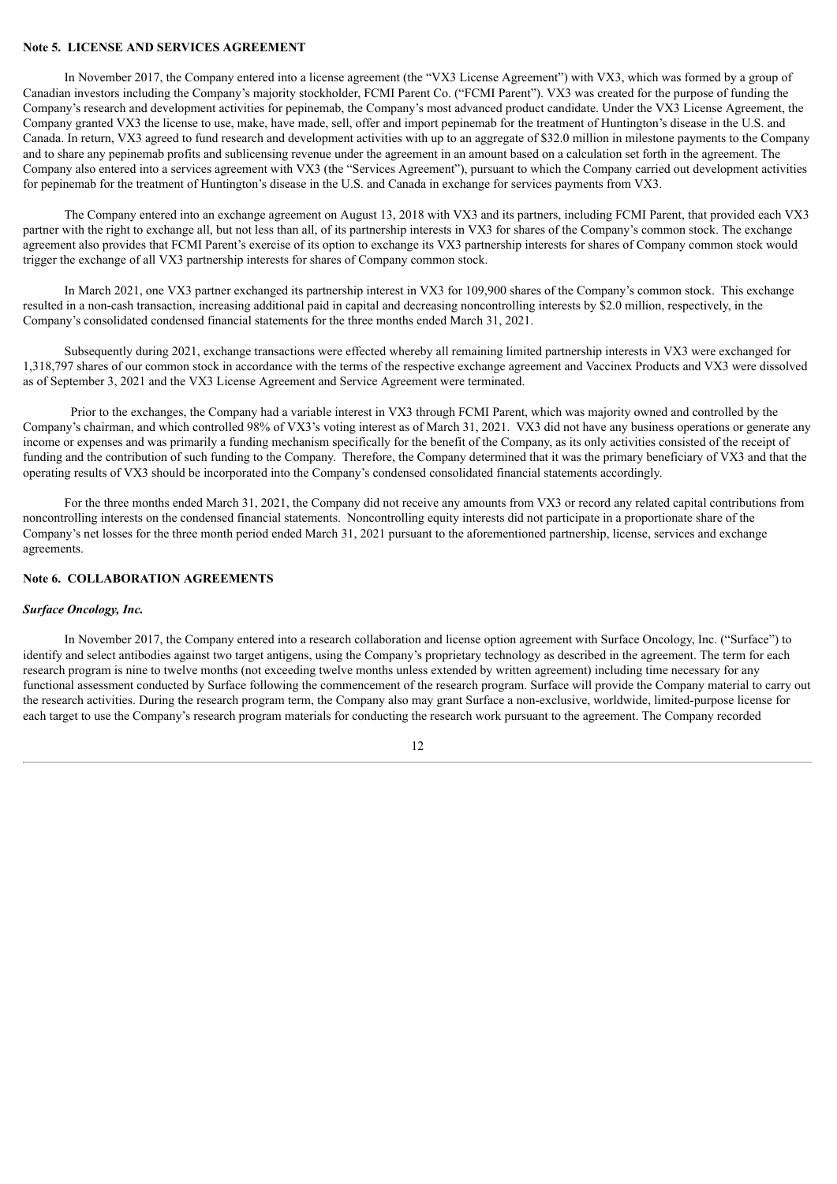#### **Note 5. LICENSE AND SERVICES AGREEMENT**

In November 2017, the Company entered into a license agreement (the "VX3 License Agreement") with VX3, which was formed by a group of Canadian investors including the Company's majority stockholder, FCMI Parent Co. ("FCMI Parent"). VX3 was created for the purpose of funding the Company's research and development activities for pepinemab, the Company's most advanced product candidate. Under the VX3 License Agreement, the Company granted VX3 the license to use, make, have made, sell, offer and import pepinemab for the treatment of Huntington's disease in the U.S. and Canada. In return, VX3 agreed to fund research and development activities with up to an aggregate of \$32.0 million in milestone payments to the Company and to share any pepinemab profits and sublicensing revenue under the agreement in an amount based on a calculation set forth in the agreement. The Company also entered into a services agreement with VX3 (the "Services Agreement"), pursuant to which the Company carried out development activities for pepinemab for the treatment of Huntington's disease in the U.S. and Canada in exchange for services payments from VX3.

The Company entered into an exchange agreement on August 13, 2018 with VX3 and its partners, including FCMI Parent, that provided each VX3 partner with the right to exchange all, but not less than all, of its partnership interests in VX3 for shares of the Company's common stock. The exchange agreement also provides that FCMI Parent's exercise of its option to exchange its VX3 partnership interests for shares of Company common stock would trigger the exchange of all VX3 partnership interests for shares of Company common stock.

In March 2021, one VX3 partner exchanged its partnership interest in VX3 for 109,900 shares of the Company's common stock. This exchange resulted in a non-cash transaction, increasing additional paid in capital and decreasing noncontrolling interests by \$2.0 million, respectively, in the Company's consolidated condensed financial statements for the three months ended March 31, 2021.

Subsequently during 2021, exchange transactions were effected whereby all remaining limited partnership interests in VX3 were exchanged for 1,318,797 shares of our common stock in accordance with the terms of the respective exchange agreement and Vaccinex Products and VX3 were dissolved as of September 3, 2021 and the VX3 License Agreement and Service Agreement were terminated.

Prior to the exchanges, the Company had a variable interest in VX3 through FCMI Parent, which was majority owned and controlled by the Company's chairman, and which controlled 98% of VX3's voting interest as of March 31, 2021. VX3 did not have any business operations or generate any income or expenses and was primarily a funding mechanism specifically for the benefit of the Company, as its only activities consisted of the receipt of funding and the contribution of such funding to the Company. Therefore, the Company determined that it was the primary beneficiary of VX3 and that the operating results of VX3 should be incorporated into the Company's condensed consolidated financial statements accordingly.

For the three months ended March 31, 2021, the Company did not receive any amounts from VX3 or record any related capital contributions from noncontrolling interests on the condensed financial statements. Noncontrolling equity interests did not participate in a proportionate share of the Company's net losses for the three month period ended March 31, 2021 pursuant to the aforementioned partnership, license, services and exchange agreements.

# **Note 6. COLLABORATION AGREEMENTS**

#### *Surface Oncology, Inc.*

In November 2017, the Company entered into a research collaboration and license option agreement with Surface Oncology, Inc. ("Surface") to identify and select antibodies against two target antigens, using the Company's proprietary technology as described in the agreement. The term for each research program is nine to twelve months (not exceeding twelve months unless extended by written agreement) including time necessary for any functional assessment conducted by Surface following the commencement of the research program. Surface will provide the Company material to carry out the research activities. During the research program term, the Company also may grant Surface a non-exclusive, worldwide, limited-purpose license for each target to use the Company's research program materials for conducting the research work pursuant to the agreement. The Company recorded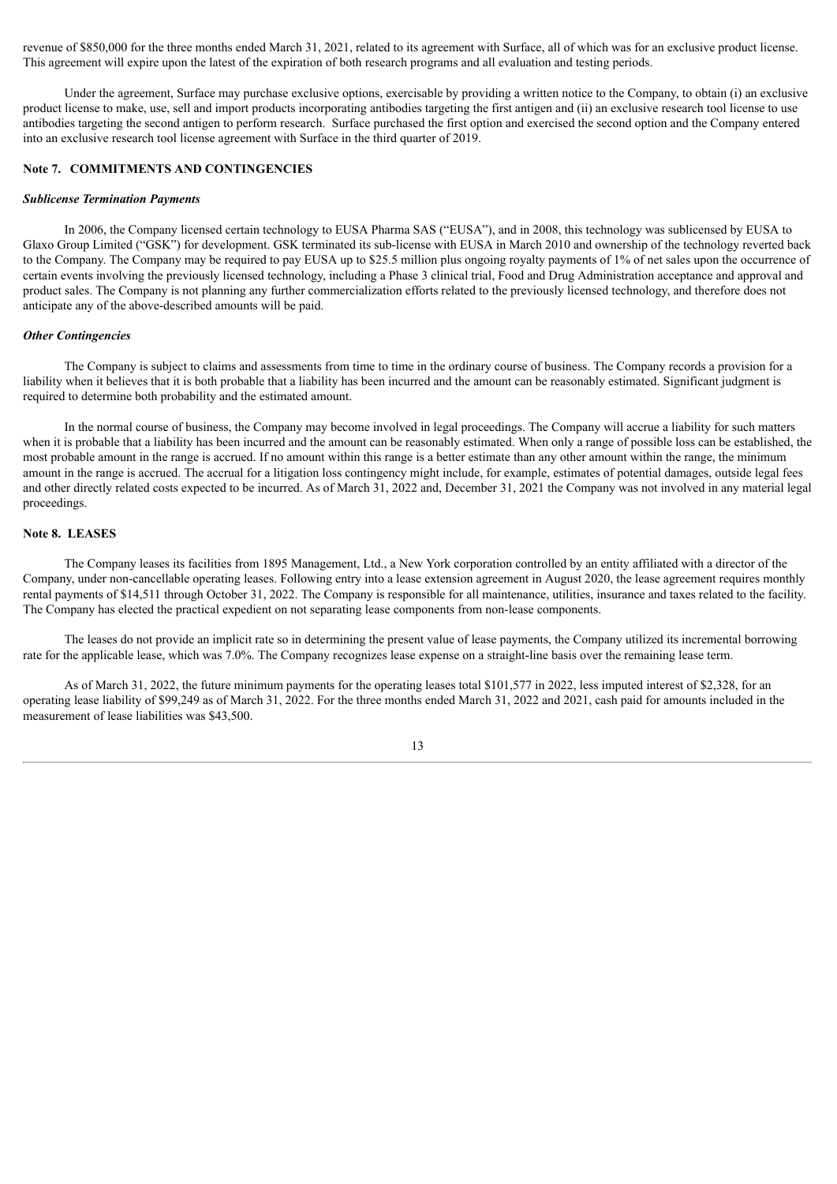revenue of \$850,000 for the three months ended March 31, 2021, related to its agreement with Surface, all of which was for an exclusive product license. This agreement will expire upon the latest of the expiration of both research programs and all evaluation and testing periods.

Under the agreement, Surface may purchase exclusive options, exercisable by providing a written notice to the Company, to obtain (i) an exclusive product license to make, use, sell and import products incorporating antibodies targeting the first antigen and (ii) an exclusive research tool license to use antibodies targeting the second antigen to perform research. Surface purchased the first option and exercised the second option and the Company entered into an exclusive research tool license agreement with Surface in the third quarter of 2019.

#### **Note 7. COMMITMENTS AND CONTINGENCIES**

#### *Sublicense Termination Payments*

In 2006, the Company licensed certain technology to EUSA Pharma SAS ("EUSA"), and in 2008, this technology was sublicensed by EUSA to Glaxo Group Limited ("GSK") for development. GSK terminated its sub-license with EUSA in March 2010 and ownership of the technology reverted back to the Company. The Company may be required to pay EUSA up to \$25.5 million plus ongoing royalty payments of 1% of net sales upon the occurrence of certain events involving the previously licensed technology, including a Phase 3 clinical trial, Food and Drug Administration acceptance and approval and product sales. The Company is not planning any further commercialization efforts related to the previously licensed technology, and therefore does not anticipate any of the above-described amounts will be paid.

#### *Other Contingencies*

The Company is subject to claims and assessments from time to time in the ordinary course of business. The Company records a provision for a liability when it believes that it is both probable that a liability has been incurred and the amount can be reasonably estimated. Significant judgment is required to determine both probability and the estimated amount.

In the normal course of business, the Company may become involved in legal proceedings. The Company will accrue a liability for such matters when it is probable that a liability has been incurred and the amount can be reasonably estimated. When only a range of possible loss can be established, the most probable amount in the range is accrued. If no amount within this range is a better estimate than any other amount within the range, the minimum amount in the range is accrued. The accrual for a litigation loss contingency might include, for example, estimates of potential damages, outside legal fees and other directly related costs expected to be incurred. As of March 31, 2022 and, December 31, 2021 the Company was not involved in any material legal proceedings.

#### **Note 8. LEASES**

The Company leases its facilities from 1895 Management, Ltd., a New York corporation controlled by an entity affiliated with a director of the Company, under non-cancellable operating leases. Following entry into a lease extension agreement in August 2020, the lease agreement requires monthly rental payments of \$14,511 through October 31, 2022. The Company is responsible for all maintenance, utilities, insurance and taxes related to the facility. The Company has elected the practical expedient on not separating lease components from non-lease components.

The leases do not provide an implicit rate so in determining the present value of lease payments, the Company utilized its incremental borrowing rate for the applicable lease, which was 7.0%. The Company recognizes lease expense on a straight-line basis over the remaining lease term.

As of March 31, 2022, the future minimum payments for the operating leases total \$101,577 in 2022, less imputed interest of \$2,328, for an operating lease liability of \$99,249 as of March 31, 2022. For the three months ended March 31, 2022 and 2021, cash paid for amounts included in the measurement of lease liabilities was \$43,500.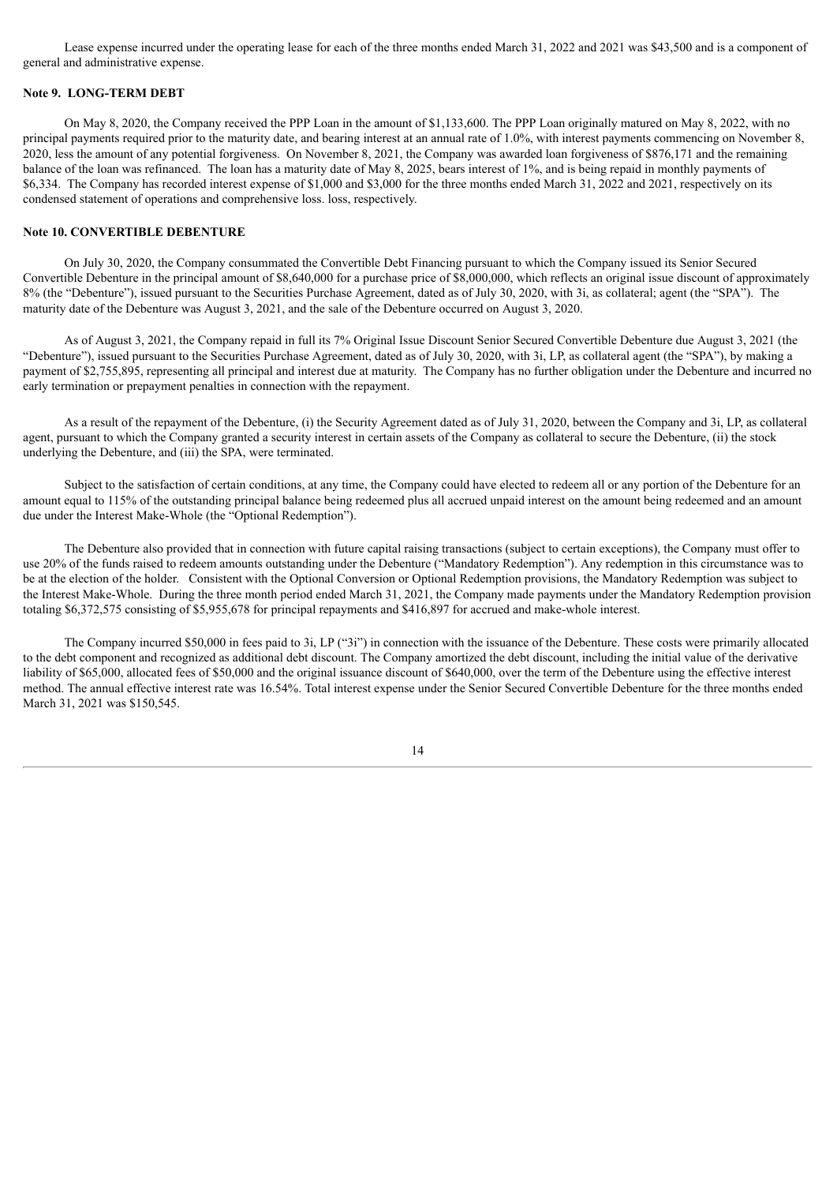Lease expense incurred under the operating lease for each of the three months ended March 31, 2022 and 2021 was \$43,500 and is a component of general and administrative expense.

#### **Note 9. LONG-TERM DEBT**

On May 8, 2020, the Company received the PPP Loan in the amount of \$1,133,600. The PPP Loan originally matured on May 8, 2022, with no principal payments required prior to the maturity date, and bearing interest at an annual rate of 1.0%, with interest payments commencing on November 8, 2020, less the amount of any potential forgiveness. On November 8, 2021, the Company was awarded loan forgiveness of \$876,171 and the remaining balance of the loan was refinanced. The loan has a maturity date of May 8, 2025, bears interest of 1%, and is being repaid in monthly payments of \$6,334. The Company has recorded interest expense of \$1,000 and \$3,000 for the three months ended March 31, 2022 and 2021, respectively on its condensed statement of operations and comprehensive loss. loss, respectively.

#### **Note 10. CONVERTIBLE DEBENTURE**

On July 30, 2020, the Company consummated the Convertible Debt Financing pursuant to which the Company issued its Senior Secured Convertible Debenture in the principal amount of \$8,640,000 for a purchase price of \$8,000,000, which reflects an original issue discount of approximately 8% (the "Debenture"), issued pursuant to the Securities Purchase Agreement, dated as of July 30, 2020, with 3i, as collateral; agent (the "SPA"). The maturity date of the Debenture was August 3, 2021, and the sale of the Debenture occurred on August 3, 2020.

As of August 3, 2021, the Company repaid in full its 7% Original Issue Discount Senior Secured Convertible Debenture due August 3, 2021 (the "Debenture"), issued pursuant to the Securities Purchase Agreement, dated as of July 30, 2020, with 3i, LP, as collateral agent (the "SPA"), by making a payment of \$2,755,895, representing all principal and interest due at maturity. The Company has no further obligation under the Debenture and incurred no early termination or prepayment penalties in connection with the repayment.

As a result of the repayment of the Debenture, (i) the Security Agreement dated as of July 31, 2020, between the Company and 3i, LP, as collateral agent, pursuant to which the Company granted a security interest in certain assets of the Company as collateral to secure the Debenture, (ii) the stock underlying the Debenture, and (iii) the SPA, were terminated.

Subject to the satisfaction of certain conditions, at any time, the Company could have elected to redeem all or any portion of the Debenture for an amount equal to 115% of the outstanding principal balance being redeemed plus all accrued unpaid interest on the amount being redeemed and an amount due under the Interest Make-Whole (the "Optional Redemption").

The Debenture also provided that in connection with future capital raising transactions (subject to certain exceptions), the Company must offer to use 20% of the funds raised to redeem amounts outstanding under the Debenture ("Mandatory Redemption"). Any redemption in this circumstance was to be at the election of the holder. Consistent with the Optional Conversion or Optional Redemption provisions, the Mandatory Redemption was subject to the Interest Make-Whole. During the three month period ended March 31, 2021, the Company made payments under the Mandatory Redemption provision totaling \$6,372,575 consisting of \$5,955,678 for principal repayments and \$416,897 for accrued and make-whole interest.

The Company incurred \$50,000 in fees paid to 3i, LP ("3i") in connection with the issuance of the Debenture. These costs were primarily allocated to the debt component and recognized as additional debt discount. The Company amortized the debt discount, including the initial value of the derivative liability of \$65,000, allocated fees of \$50,000 and the original issuance discount of \$640,000, over the term of the Debenture using the effective interest method. The annual effective interest rate was 16.54%. Total interest expense under the Senior Secured Convertible Debenture for the three months ended March 31, 2021 was \$150,545.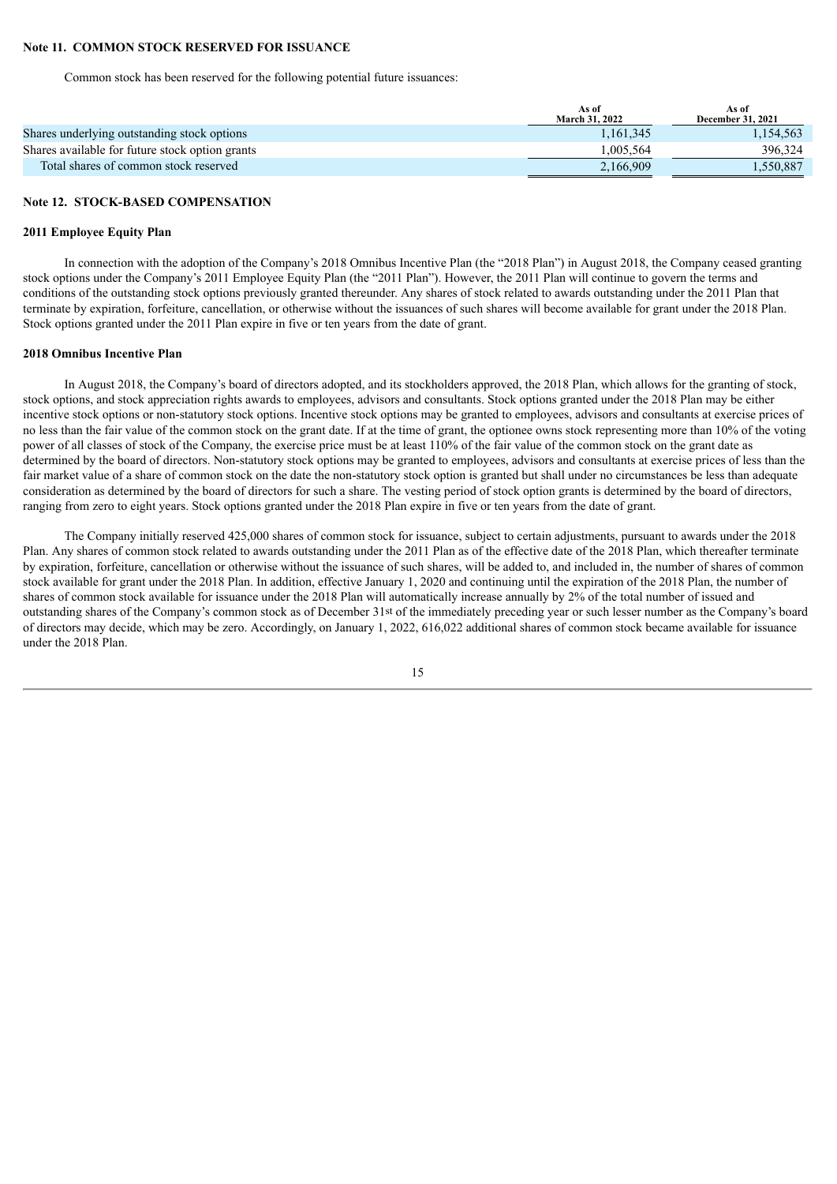#### **Note 11. COMMON STOCK RESERVED FOR ISSUANCE**

Common stock has been reserved for the following potential future issuances:

|                                                 | As of<br><b>March 31, 2022</b> | As of<br><b>December 31, 2021</b> |
|-------------------------------------------------|--------------------------------|-----------------------------------|
| Shares underlying outstanding stock options     | 1.161.345                      | 1.154.563                         |
| Shares available for future stock option grants | 1.005.564                      | 396.324                           |
| Total shares of common stock reserved           | 2,166,909                      | 1,550,887                         |

#### **Note 12. STOCK-BASED COMPENSATION**

#### **2011 Employee Equity Plan**

In connection with the adoption of the Company's 2018 Omnibus Incentive Plan (the "2018 Plan") in August 2018, the Company ceased granting stock options under the Company's 2011 Employee Equity Plan (the "2011 Plan"). However, the 2011 Plan will continue to govern the terms and conditions of the outstanding stock options previously granted thereunder. Any shares of stock related to awards outstanding under the 2011 Plan that terminate by expiration, forfeiture, cancellation, or otherwise without the issuances of such shares will become available for grant under the 2018 Plan. Stock options granted under the 2011 Plan expire in five or ten years from the date of grant.

#### **2018 Omnibus Incentive Plan**

In August 2018, the Company's board of directors adopted, and its stockholders approved, the 2018 Plan, which allows for the granting of stock, stock options, and stock appreciation rights awards to employees, advisors and consultants. Stock options granted under the 2018 Plan may be either incentive stock options or non-statutory stock options. Incentive stock options may be granted to employees, advisors and consultants at exercise prices of no less than the fair value of the common stock on the grant date. If at the time of grant, the optionee owns stock representing more than 10% of the voting power of all classes of stock of the Company, the exercise price must be at least 110% of the fair value of the common stock on the grant date as determined by the board of directors. Non-statutory stock options may be granted to employees, advisors and consultants at exercise prices of less than the fair market value of a share of common stock on the date the non-statutory stock option is granted but shall under no circumstances be less than adequate consideration as determined by the board of directors for such a share. The vesting period of stock option grants is determined by the board of directors, ranging from zero to eight years. Stock options granted under the 2018 Plan expire in five or ten years from the date of grant.

The Company initially reserved 425,000 shares of common stock for issuance, subject to certain adjustments, pursuant to awards under the 2018 Plan. Any shares of common stock related to awards outstanding under the 2011 Plan as of the effective date of the 2018 Plan, which thereafter terminate by expiration, forfeiture, cancellation or otherwise without the issuance of such shares, will be added to, and included in, the number of shares of common stock available for grant under the 2018 Plan. In addition, effective January 1, 2020 and continuing until the expiration of the 2018 Plan, the number of shares of common stock available for issuance under the 2018 Plan will automatically increase annually by 2% of the total number of issued and outstanding shares of the Company's common stock as of December 31st of the immediately preceding year or such lesser number as the Company's board of directors may decide, which may be zero. Accordingly, on January 1, 2022, 616,022 additional shares of common stock became available for issuance under the 2018 Plan.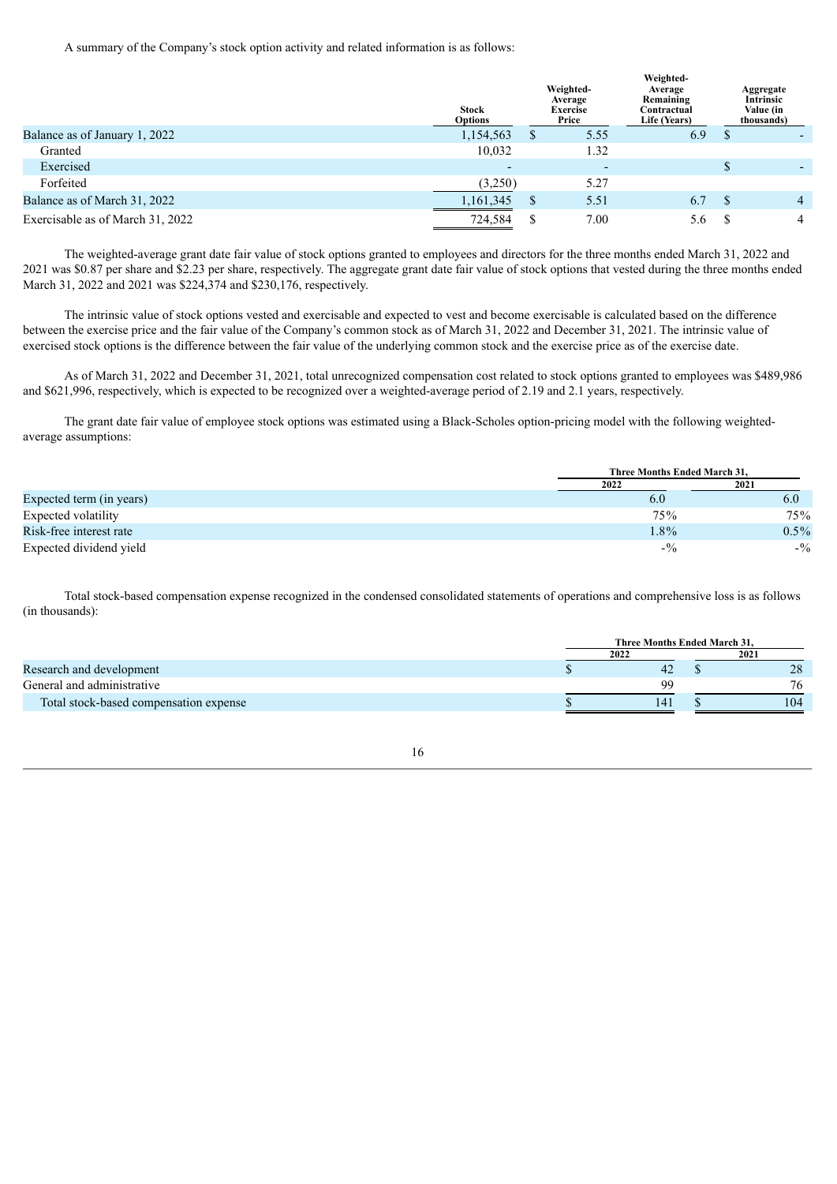A summary of the Company's stock option activity and related information is as follows:

|                                  | <b>Stock</b><br>Options  |   | Weighted-<br>Average<br><b>Exercise</b><br>Price | weighted-<br>Average<br>Remaining<br>Contractual<br>Life (Years) |   | Aggregate<br><b>Intrinsic</b><br>Value (in<br>thousands) |  |
|----------------------------------|--------------------------|---|--------------------------------------------------|------------------------------------------------------------------|---|----------------------------------------------------------|--|
| Balance as of January 1, 2022    | 1,154,563                | У | 5.55                                             | 6.9                                                              | D |                                                          |  |
| Granted                          | 10,032                   |   | 1.32                                             |                                                                  |   |                                                          |  |
| Exercised                        | $\overline{\phantom{0}}$ |   | $\overline{\phantom{a}}$                         |                                                                  |   |                                                          |  |
| Forfeited                        | (3,250)                  |   | 5.27                                             |                                                                  |   |                                                          |  |
| Balance as of March 31, 2022     | 1,161,345                |   | 5.51                                             | 6.7                                                              |   |                                                          |  |
| Exercisable as of March 31, 2022 | 724,584                  |   | 7.00                                             | 5.6                                                              |   | 4                                                        |  |
|                                  |                          |   |                                                  |                                                                  |   |                                                          |  |

**Weighted-**

The weighted-average grant date fair value of stock options granted to employees and directors for the three months ended March 31, 2022 and 2021 was \$0.87 per share and \$2.23 per share, respectively. The aggregate grant date fair value of stock options that vested during the three months ended March 31, 2022 and 2021 was \$224,374 and \$230,176, respectively.

The intrinsic value of stock options vested and exercisable and expected to vest and become exercisable is calculated based on the difference between the exercise price and the fair value of the Company's common stock as of March 31, 2022 and December 31, 2021. The intrinsic value of exercised stock options is the difference between the fair value of the underlying common stock and the exercise price as of the exercise date.

As of March 31, 2022 and December 31, 2021, total unrecognized compensation cost related to stock options granted to employees was \$489,986 and \$621,996, respectively, which is expected to be recognized over a weighted-average period of 2.19 and 2.1 years, respectively.

The grant date fair value of employee stock options was estimated using a Black-Scholes option-pricing model with the following weightedaverage assumptions:

|                          | Three Months Ended March 31. |         |
|--------------------------|------------------------------|---------|
|                          | 2022                         | 2021    |
| Expected term (in years) | 6.0                          | 6.0     |
| Expected volatility      | 75%                          | 75%     |
| Risk-free interest rate  | 1.8%                         | $0.5\%$ |
| Expected dividend yield  | $-9/0$                       | $-9/0$  |

Total stock-based compensation expense recognized in the condensed consolidated statements of operations and comprehensive loss is as follows (in thousands):

|                                        | <b>Three Months Ended March 31.</b> |  |      |  |
|----------------------------------------|-------------------------------------|--|------|--|
|                                        | 2022                                |  | 2021 |  |
| Research and development               |                                     |  | 28   |  |
| General and administrative             | 9Q                                  |  | 76   |  |
| Total stock-based compensation expense |                                     |  | 104  |  |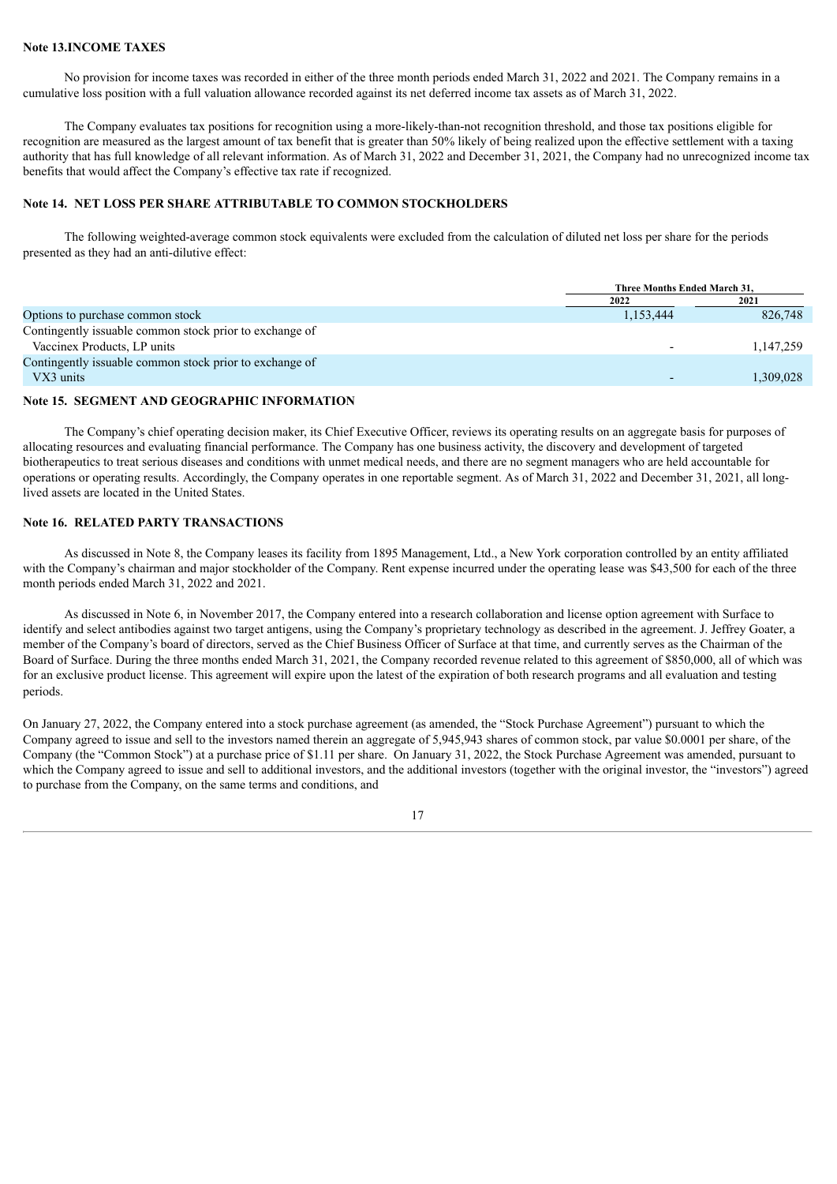#### **Note 13.INCOME TAXES**

No provision for income taxes was recorded in either of the three month periods ended March 31, 2022 and 2021. The Company remains in a cumulative loss position with a full valuation allowance recorded against its net deferred income tax assets as of March 31, 2022.

The Company evaluates tax positions for recognition using a more-likely-than-not recognition threshold, and those tax positions eligible for recognition are measured as the largest amount of tax benefit that is greater than 50% likely of being realized upon the effective settlement with a taxing authority that has full knowledge of all relevant information. As of March 31, 2022 and December 31, 2021, the Company had no unrecognized income tax benefits that would affect the Company's effective tax rate if recognized.

#### **Note 14. NET LOSS PER SHARE ATTRIBUTABLE TO COMMON STOCKHOLDERS**

The following weighted-average common stock equivalents were excluded from the calculation of diluted net loss per share for the periods presented as they had an anti-dilutive effect:

|                                                          |           | Three Months Ended March 31. |  |  |
|----------------------------------------------------------|-----------|------------------------------|--|--|
|                                                          | 2022      | 2021                         |  |  |
| Options to purchase common stock                         | 1.153.444 | 826,748                      |  |  |
| Contingently issuable common stock prior to exchange of  |           |                              |  |  |
| Vaccinex Products, LP units                              |           | 1,147,259                    |  |  |
| Contingently is suable common stock prior to exchange of |           |                              |  |  |
| VX3 units                                                |           | 1,309,028                    |  |  |

#### **Note 15. SEGMENT AND GEOGRAPHIC INFORMATION**

The Company's chief operating decision maker, its Chief Executive Officer, reviews its operating results on an aggregate basis for purposes of allocating resources and evaluating financial performance. The Company has one business activity, the discovery and development of targeted biotherapeutics to treat serious diseases and conditions with unmet medical needs, and there are no segment managers who are held accountable for operations or operating results. Accordingly, the Company operates in one reportable segment. As of March 31, 2022 and December 31, 2021, all longlived assets are located in the United States.

# **Note 16. RELATED PARTY TRANSACTIONS**

As discussed in Note 8, the Company leases its facility from 1895 Management, Ltd., a New York corporation controlled by an entity affiliated with the Company's chairman and major stockholder of the Company. Rent expense incurred under the operating lease was \$43,500 for each of the three month periods ended March 31, 2022 and 2021.

As discussed in Note 6, in November 2017, the Company entered into a research collaboration and license option agreement with Surface to identify and select antibodies against two target antigens, using the Company's proprietary technology as described in the agreement. J. Jeffrey Goater, a member of the Company's board of directors, served as the Chief Business Officer of Surface at that time, and currently serves as the Chairman of the Board of Surface. During the three months ended March 31, 2021, the Company recorded revenue related to this agreement of \$850,000, all of which was for an exclusive product license. This agreement will expire upon the latest of the expiration of both research programs and all evaluation and testing periods.

On January 27, 2022, the Company entered into a stock purchase agreement (as amended, the "Stock Purchase Agreement") pursuant to which the Company agreed to issue and sell to the investors named therein an aggregate of 5,945,943 shares of common stock, par value \$0.0001 per share, of the Company (the "Common Stock") at a purchase price of \$1.11 per share. On January 31, 2022, the Stock Purchase Agreement was amended, pursuant to which the Company agreed to issue and sell to additional investors, and the additional investors (together with the original investor, the "investors") agreed to purchase from the Company, on the same terms and conditions, and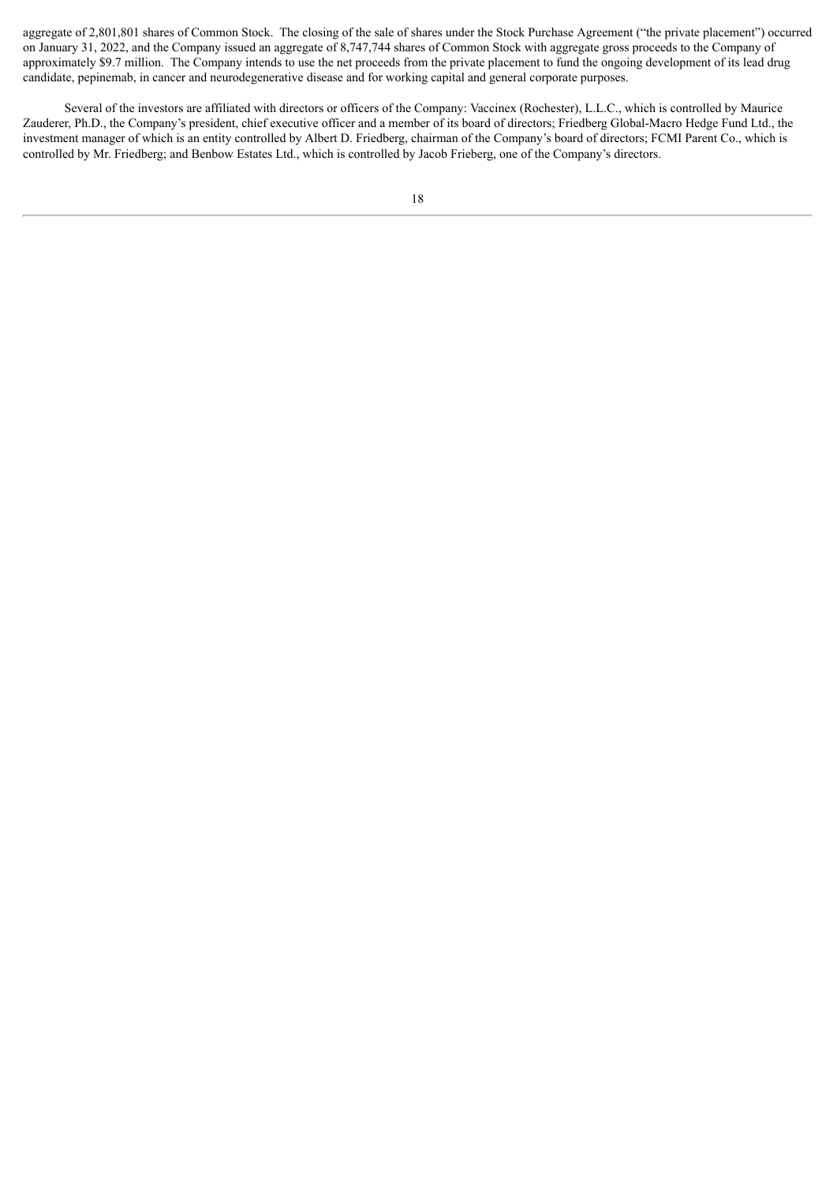aggregate of 2,801,801 shares of Common Stock. The closing of the sale of shares under the Stock Purchase Agreement ("the private placement") occurred on January 31, 2022, and the Company issued an aggregate of 8,747,744 shares of Common Stock with aggregate gross proceeds to the Company of approximately \$9.7 million. The Company intends to use the net proceeds from the private placement to fund the ongoing development of its lead drug candidate, pepinemab, in cancer and neurodegenerative disease and for working capital and general corporate purposes.

Several of the investors are affiliated with directors or officers of the Company: Vaccinex (Rochester), L.L.C., which is controlled by Maurice Zauderer, Ph.D., the Company's president, chief executive officer and a member of its board of directors; Friedberg Global-Macro Hedge Fund Ltd., the investment manager of which is an entity controlled by Albert D. Friedberg, chairman of the Company's board of directors; FCMI Parent Co., which is controlled by Mr. Friedberg; and Benbow Estates Ltd., which is controlled by Jacob Frieberg, one of the Company's directors.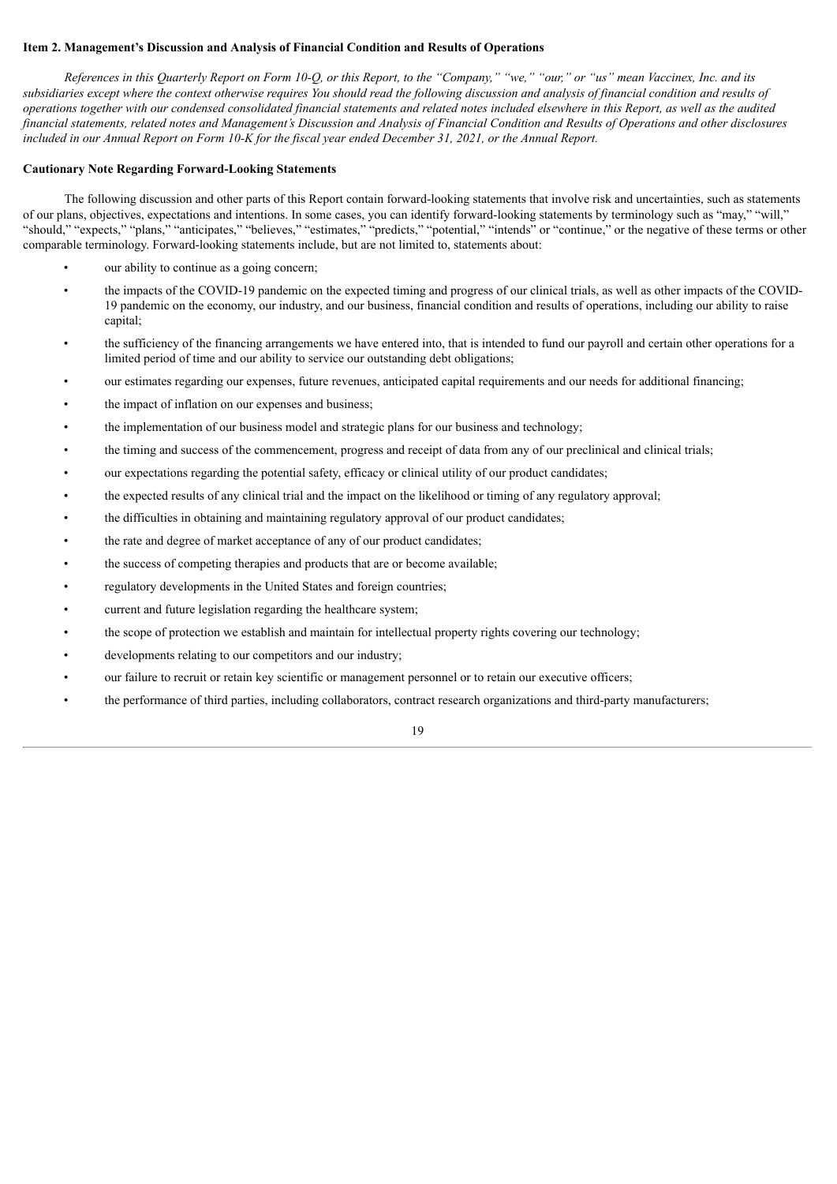#### <span id="page-18-0"></span>**Item 2. Management's Discussion and Analysis of Financial Condition and Results of Operations**

References in this Quarterly Report on Form 10-Q, or this Report, to the "Company," "we," "our," or "us" mean Vaccinex, Inc. and its subsidiaries except where the context otherwise requires You should read the following discussion and analysis of financial condition and results of operations together with our condensed consolidated financial statements and related notes included elsewhere in this Report, as well as the audited financial statements, related notes and Management's Discussion and Analysis of Financial Condition and Results of Operations and other disclosures included in our Annual Report on Form 10-K for the fiscal vear ended December 31, 2021, or the Annual Report,

#### **Cautionary Note Regarding Forward-Looking Statements**

The following discussion and other parts of this Report contain forward-looking statements that involve risk and uncertainties, such as statements of our plans, objectives, expectations and intentions. In some cases, you can identify forward-looking statements by terminology such as "may," "will," "should," "expects," "plans," "anticipates," "believes," "estimates," "predicts," "potential," "intends" or "continue," or the negative of these terms or other comparable terminology. Forward-looking statements include, but are not limited to, statements about:

- our ability to continue as a going concern;
- the impacts of the COVID-19 pandemic on the expected timing and progress of our clinical trials, as well as other impacts of the COVID-19 pandemic on the economy, our industry, and our business, financial condition and results of operations, including our ability to raise capital;
- the sufficiency of the financing arrangements we have entered into, that is intended to fund our payroll and certain other operations for a limited period of time and our ability to service our outstanding debt obligations;
- our estimates regarding our expenses, future revenues, anticipated capital requirements and our needs for additional financing;
- the impact of inflation on our expenses and business;
- the implementation of our business model and strategic plans for our business and technology;
- the timing and success of the commencement, progress and receipt of data from any of our preclinical and clinical trials;
- our expectations regarding the potential safety, efficacy or clinical utility of our product candidates;
- the expected results of any clinical trial and the impact on the likelihood or timing of any regulatory approval;
- the difficulties in obtaining and maintaining regulatory approval of our product candidates;
- the rate and degree of market acceptance of any of our product candidates;
- the success of competing therapies and products that are or become available;
- regulatory developments in the United States and foreign countries;
- current and future legislation regarding the healthcare system;
- the scope of protection we establish and maintain for intellectual property rights covering our technology;
- developments relating to our competitors and our industry;
- our failure to recruit or retain key scientific or management personnel or to retain our executive officers;
- the performance of third parties, including collaborators, contract research organizations and third-party manufacturers;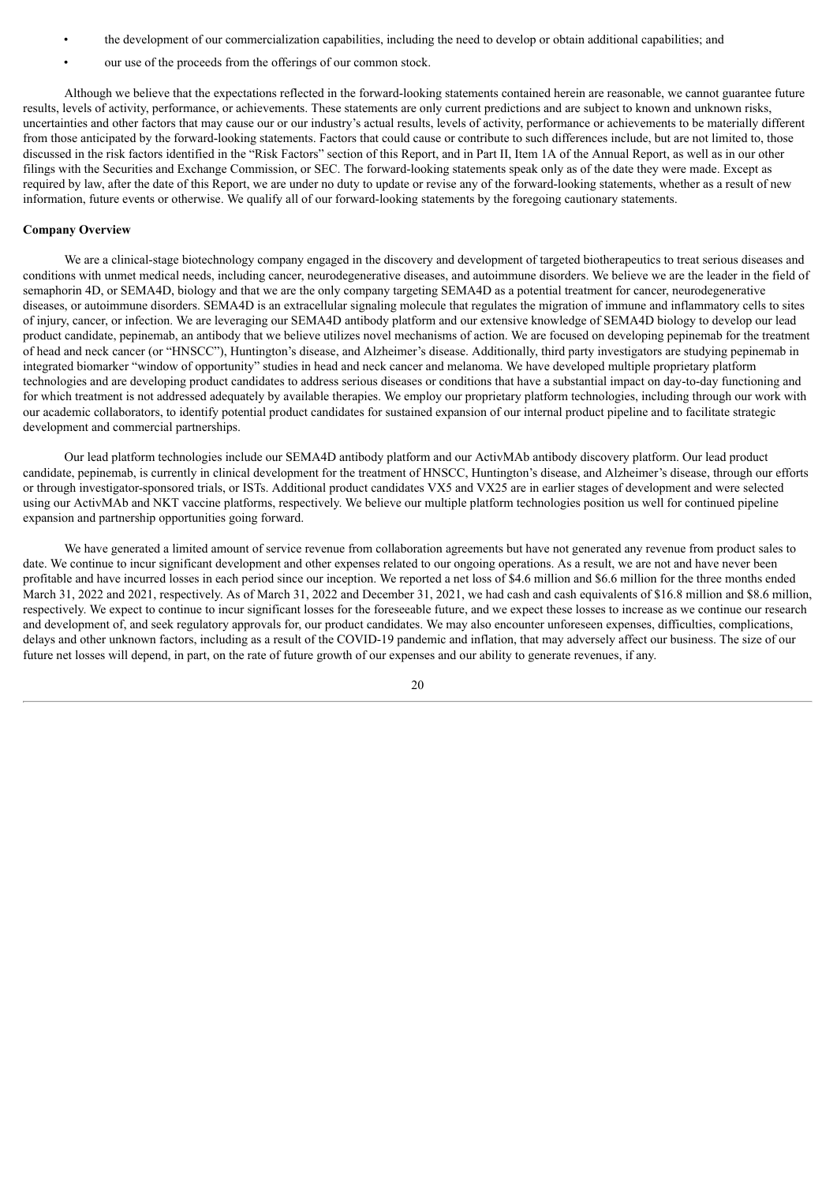- the development of our commercialization capabilities, including the need to develop or obtain additional capabilities; and
- our use of the proceeds from the offerings of our common stock.

Although we believe that the expectations reflected in the forward-looking statements contained herein are reasonable, we cannot guarantee future results, levels of activity, performance, or achievements. These statements are only current predictions and are subject to known and unknown risks, uncertainties and other factors that may cause our or our industry's actual results, levels of activity, performance or achievements to be materially different from those anticipated by the forward-looking statements. Factors that could cause or contribute to such differences include, but are not limited to, those discussed in the risk factors identified in the "Risk Factors" section of this Report, and in Part II, Item 1A of the Annual Report, as well as in our other filings with the Securities and Exchange Commission, or SEC. The forward-looking statements speak only as of the date they were made. Except as required by law, after the date of this Report, we are under no duty to update or revise any of the forward-looking statements, whether as a result of new information, future events or otherwise. We qualify all of our forward-looking statements by the foregoing cautionary statements.

#### **Company Overview**

We are a clinical-stage biotechnology company engaged in the discovery and development of targeted biotherapeutics to treat serious diseases and conditions with unmet medical needs, including cancer, neurodegenerative diseases, and autoimmune disorders. We believe we are the leader in the field of semaphorin 4D, or SEMA4D, biology and that we are the only company targeting SEMA4D as a potential treatment for cancer, neurodegenerative diseases, or autoimmune disorders. SEMA4D is an extracellular signaling molecule that regulates the migration of immune and inflammatory cells to sites of injury, cancer, or infection. We are leveraging our SEMA4D antibody platform and our extensive knowledge of SEMA4D biology to develop our lead product candidate, pepinemab, an antibody that we believe utilizes novel mechanisms of action. We are focused on developing pepinemab for the treatment of head and neck cancer (or "HNSCC"), Huntington's disease, and Alzheimer's disease. Additionally, third party investigators are studying pepinemab in integrated biomarker "window of opportunity" studies in head and neck cancer and melanoma. We have developed multiple proprietary platform technologies and are developing product candidates to address serious diseases or conditions that have a substantial impact on day-to-day functioning and for which treatment is not addressed adequately by available therapies. We employ our proprietary platform technologies, including through our work with our academic collaborators, to identify potential product candidates for sustained expansion of our internal product pipeline and to facilitate strategic development and commercial partnerships.

Our lead platform technologies include our SEMA4D antibody platform and our ActivMAb antibody discovery platform. Our lead product candidate, pepinemab, is currently in clinical development for the treatment of HNSCC, Huntington's disease, and Alzheimer's disease, through our efforts or through investigator-sponsored trials, or ISTs. Additional product candidates VX5 and VX25 are in earlier stages of development and were selected using our ActivMAb and NKT vaccine platforms, respectively. We believe our multiple platform technologies position us well for continued pipeline expansion and partnership opportunities going forward.

We have generated a limited amount of service revenue from collaboration agreements but have not generated any revenue from product sales to date. We continue to incur significant development and other expenses related to our ongoing operations. As a result, we are not and have never been profitable and have incurred losses in each period since our inception. We reported a net loss of \$4.6 million and \$6.6 million for the three months ended March 31, 2022 and 2021, respectively. As of March 31, 2022 and December 31, 2021, we had cash and cash equivalents of \$16.8 million and \$8.6 million, respectively. We expect to continue to incur significant losses for the foreseeable future, and we expect these losses to increase as we continue our research and development of, and seek regulatory approvals for, our product candidates. We may also encounter unforeseen expenses, difficulties, complications, delays and other unknown factors, including as a result of the COVID-19 pandemic and inflation, that may adversely affect our business. The size of our future net losses will depend, in part, on the rate of future growth of our expenses and our ability to generate revenues, if any.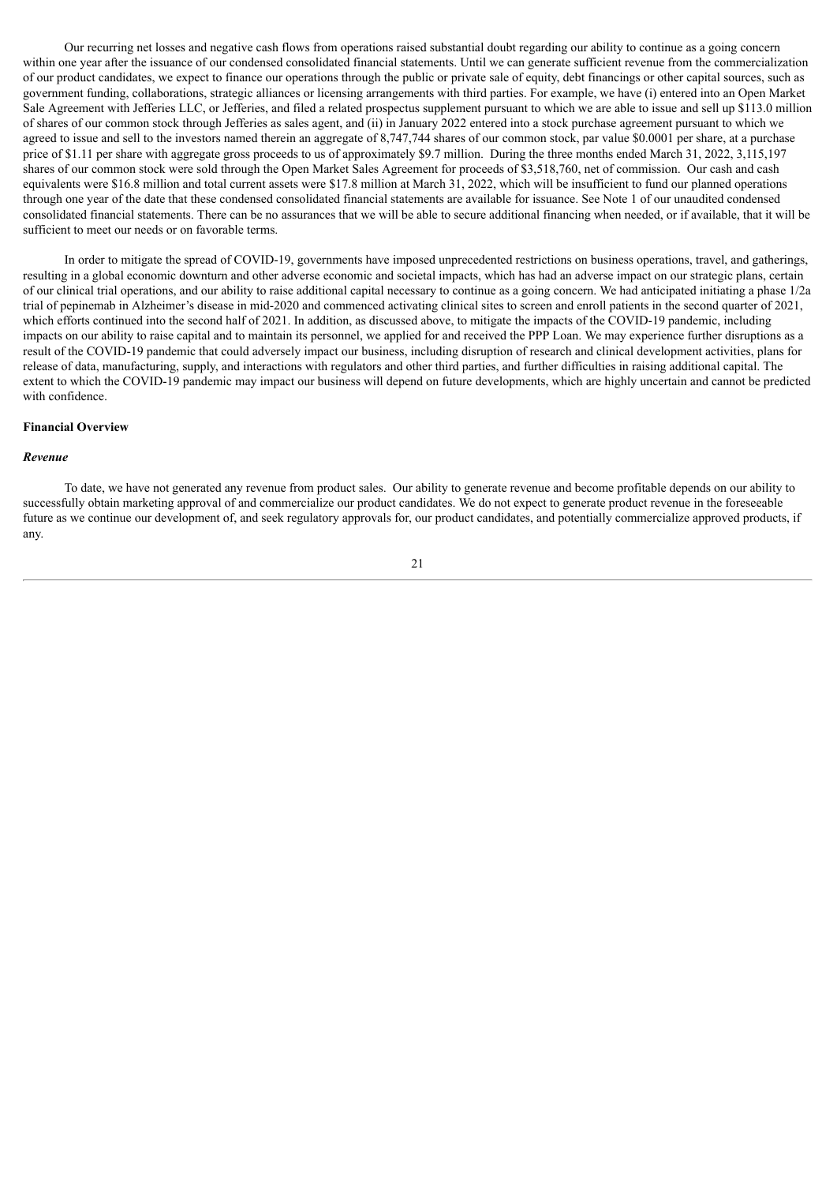Our recurring net losses and negative cash flows from operations raised substantial doubt regarding our ability to continue as a going concern within one year after the issuance of our condensed consolidated financial statements. Until we can generate sufficient revenue from the commercialization of our product candidates, we expect to finance our operations through the public or private sale of equity, debt financings or other capital sources, such as government funding, collaborations, strategic alliances or licensing arrangements with third parties. For example, we have (i) entered into an Open Market Sale Agreement with Jefferies LLC, or Jefferies, and filed a related prospectus supplement pursuant to which we are able to issue and sell up \$113.0 million of shares of our common stock through Jefferies as sales agent, and (ii) in January 2022 entered into a stock purchase agreement pursuant to which we agreed to issue and sell to the investors named therein an aggregate of 8.747.744 shares of our common stock, par value \$0.0001 per share, at a purchase price of \$1.11 per share with aggregate gross proceeds to us of approximately \$9.7 million. During the three months ended March 31, 2022, 3,115,197 shares of our common stock were sold through the Open Market Sales Agreement for proceeds of \$3,518,760, net of commission. Our cash and cash equivalents were \$16.8 million and total current assets were \$17.8 million at March 31, 2022, which will be insufficient to fund our planned operations through one year of the date that these condensed consolidated financial statements are available for issuance. See Note 1 of our unaudited condensed consolidated financial statements. There can be no assurances that we will be able to secure additional financing when needed, or if available, that it will be sufficient to meet our needs or on favorable terms.

In order to mitigate the spread of COVID-19, governments have imposed unprecedented restrictions on business operations, travel, and gatherings, resulting in a global economic downturn and other adverse economic and societal impacts, which has had an adverse impact on our strategic plans, certain of our clinical trial operations, and our ability to raise additional capital necessary to continue as a going concern. We had anticipated initiating a phase 1/2a trial of pepinemab in Alzheimer's disease in mid-2020 and commenced activating clinical sites to screen and enroll patients in the second quarter of 2021, which efforts continued into the second half of 2021. In addition, as discussed above, to mitigate the impacts of the COVID-19 pandemic, including impacts on our ability to raise capital and to maintain its personnel, we applied for and received the PPP Loan. We may experience further disruptions as a result of the COVID-19 pandemic that could adversely impact our business, including disruption of research and clinical development activities, plans for release of data, manufacturing, supply, and interactions with regulators and other third parties, and further difficulties in raising additional capital. The extent to which the COVID-19 pandemic may impact our business will depend on future developments, which are highly uncertain and cannot be predicted with confidence.

#### **Financial Overview**

#### *Revenue*

To date, we have not generated any revenue from product sales. Our ability to generate revenue and become profitable depends on our ability to successfully obtain marketing approval of and commercialize our product candidates. We do not expect to generate product revenue in the foreseeable future as we continue our development of, and seek regulatory approvals for, our product candidates, and potentially commercialize approved products, if any.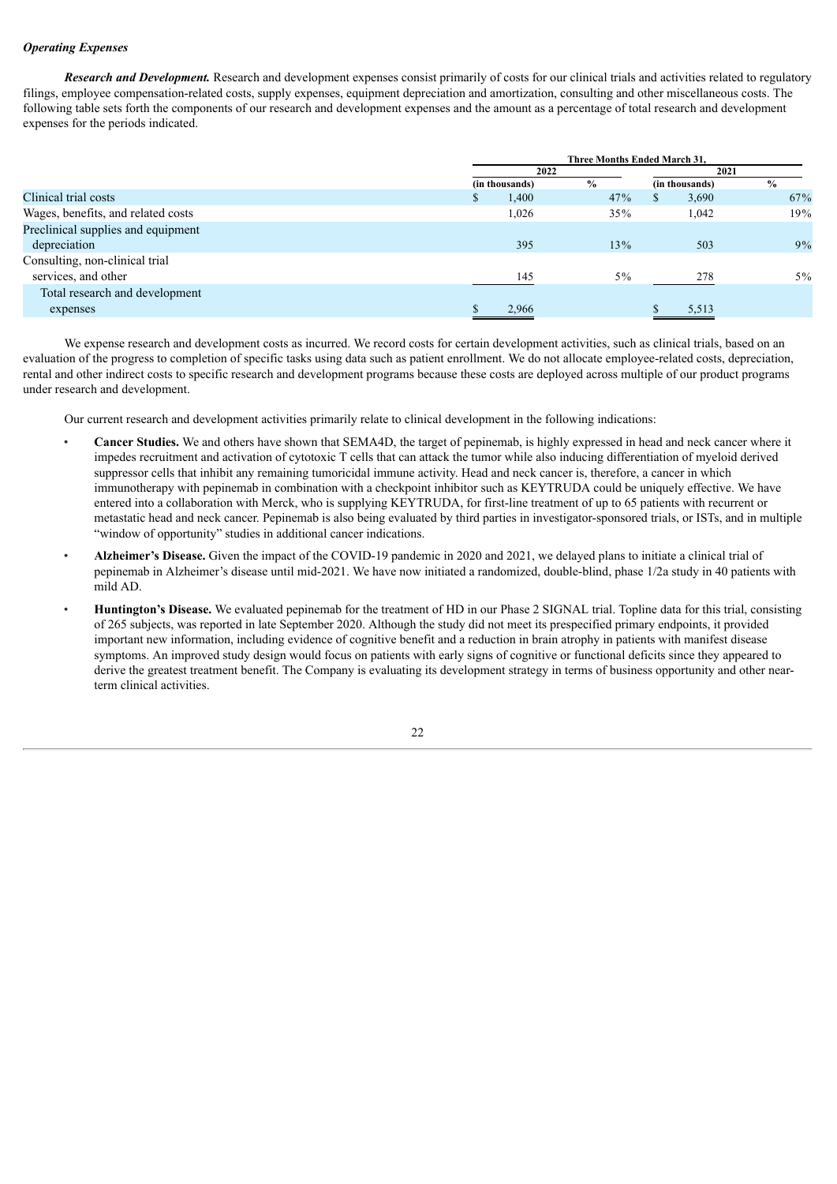#### *Operating Expenses*

*Research and Development.* Research and development expenses consist primarily of costs for our clinical trials and activities related to regulatory filings, employee compensation-related costs, supply expenses, equipment depreciation and amortization, consulting and other miscellaneous costs. The following table sets forth the components of our research and development expenses and the amount as a percentage of total research and development expenses for the periods indicated.

| Three Months Ended March 31. |       |                |                   |               |
|------------------------------|-------|----------------|-------------------|---------------|
| 2022                         |       |                | 2021              |               |
|                              |       | $\%$           | (in thousands)    | $\frac{0}{0}$ |
| $\mathbf{D}$                 | 1,400 | 47%            | 3,690<br><b>S</b> | 67%           |
|                              | 1,026 | 35%            | 1,042             | 19%           |
|                              |       |                |                   |               |
|                              | 395   | 13%            | 503               | 9%            |
|                              |       |                |                   |               |
|                              | 145   | 5%             | 278               | $5\%$         |
|                              |       |                |                   |               |
|                              | 2,966 |                | 5,513             |               |
|                              |       | (in thousands) |                   |               |

We expense research and development costs as incurred. We record costs for certain development activities, such as clinical trials, based on an evaluation of the progress to completion of specific tasks using data such as patient enrollment. We do not allocate employee-related costs, depreciation, rental and other indirect costs to specific research and development programs because these costs are deployed across multiple of our product programs under research and development.

Our current research and development activities primarily relate to clinical development in the following indications:

- **Cancer Studies.** We and others have shown that SEMA4D, the target of pepinemab, is highly expressed in head and neck cancer where it impedes recruitment and activation of cytotoxic T cells that can attack the tumor while also inducing differentiation of myeloid derived suppressor cells that inhibit any remaining tumoricidal immune activity. Head and neck cancer is, therefore, a cancer in which immunotherapy with pepinemab in combination with a checkpoint inhibitor such as KEYTRUDA could be uniquely effective. We have entered into a collaboration with Merck, who is supplying KEYTRUDA, for first-line treatment of up to 65 patients with recurrent or metastatic head and neck cancer. Pepinemab is also being evaluated by third parties in investigator-sponsored trials, or ISTs, and in multiple "window of opportunity" studies in additional cancer indications.
- **Alzheimer's Disease.** Given the impact of the COVID-19 pandemic in 2020 and 2021, we delayed plans to initiate a clinical trial of pepinemab in Alzheimer's disease until mid-2021. We have now initiated a randomized, double-blind, phase 1/2a study in 40 patients with mild AD.
- **Huntington's Disease.** We evaluated pepinemab for the treatment of HD in our Phase 2 SIGNAL trial. Topline data for this trial, consisting of 265 subjects, was reported in late September 2020. Although the study did not meet its prespecified primary endpoints, it provided important new information, including evidence of cognitive benefit and a reduction in brain atrophy in patients with manifest disease symptoms. An improved study design would focus on patients with early signs of cognitive or functional deficits since they appeared to derive the greatest treatment benefit. The Company is evaluating its development strategy in terms of business opportunity and other nearterm clinical activities.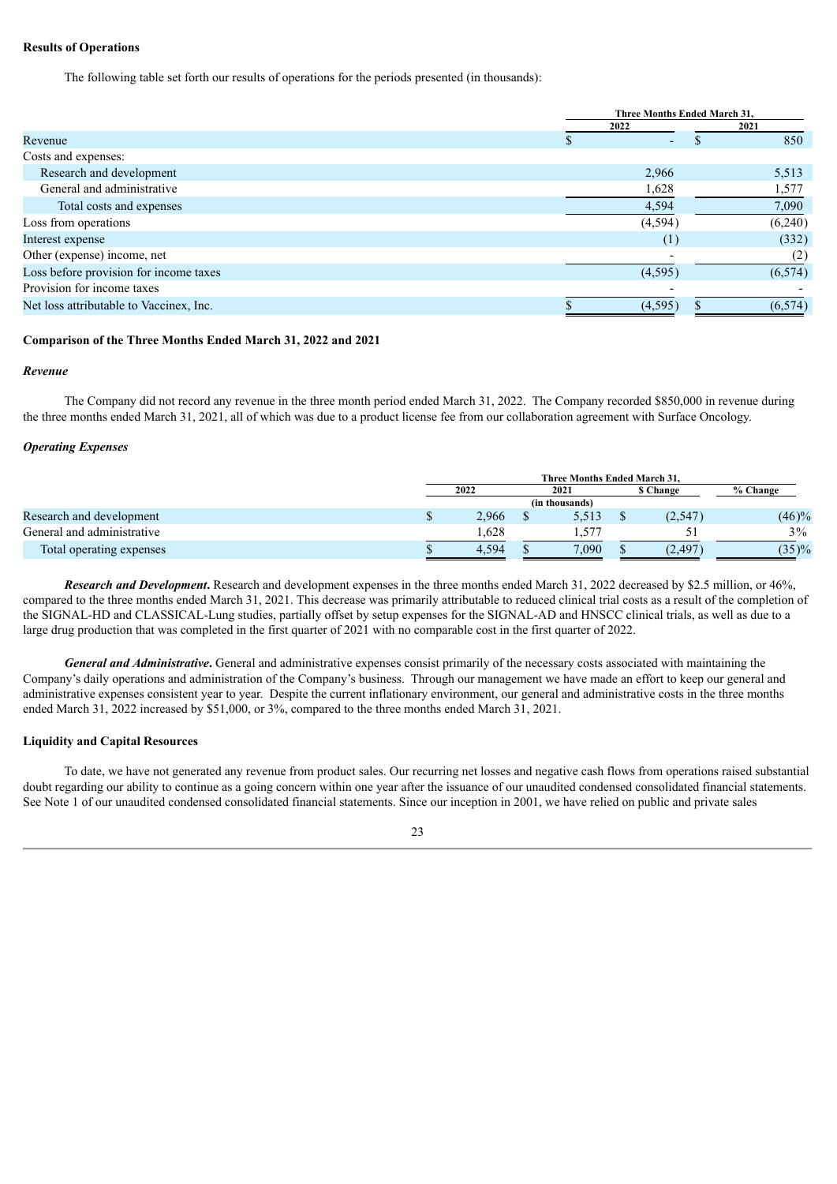#### **Results of Operations**

The following table set forth our results of operations for the periods presented (in thousands):

|                                         | Three Months Ended March 31, |          |  |  |
|-----------------------------------------|------------------------------|----------|--|--|
|                                         | 2022                         | 2021     |  |  |
| Revenue                                 | $\overline{\phantom{0}}$     | 850      |  |  |
| Costs and expenses:                     |                              |          |  |  |
| Research and development                | 2,966                        | 5,513    |  |  |
| General and administrative              | 1,628                        | 1,577    |  |  |
| Total costs and expenses                | 4,594                        | 7,090    |  |  |
| Loss from operations                    | (4, 594)                     | (6,240)  |  |  |
| Interest expense                        | (1)                          | (332)    |  |  |
| Other (expense) income, net             |                              | (2)      |  |  |
| Loss before provision for income taxes  | (4,595)                      | (6, 574) |  |  |
| Provision for income taxes              |                              |          |  |  |
| Net loss attributable to Vaccinex, Inc. | (4,595)                      | (6,574)  |  |  |

#### **Comparison of the Three Months Ended March 31, 2022 and 2021**

#### *Revenue*

The Company did not record any revenue in the three month period ended March 31, 2022. The Company recorded \$850,000 in revenue during the three months ended March 31, 2021, all of which was due to a product license fee from our collaboration agreement with Surface Oncology.

#### *Operating Expenses*

|                            |       | Three Months Ended March 31. |                 |          |
|----------------------------|-------|------------------------------|-----------------|----------|
|                            | 2022  | 2021                         | <b>S</b> Change | % Change |
|                            |       | (in thousands)               |                 |          |
| Research and development   | 2,966 | 5,513                        | (2,547)         | $(46)\%$ |
| General and administrative | .628  |                              |                 | 3%       |
| Total operating expenses   | 4,594 | 7.090                        | (2, 497)        | $(35)\%$ |

*Research and Development***.** Research and development expenses in the three months ended March 31, 2022 decreased by \$2.5 million, or 46%, compared to the three months ended March 31, 2021. This decrease was primarily attributable to reduced clinical trial costs as a result of the completion of the SIGNAL-HD and CLASSICAL-Lung studies, partially offset by setup expenses for the SIGNAL-AD and HNSCC clinical trials, as well as due to a large drug production that was completed in the first quarter of 2021 with no comparable cost in the first quarter of 2022.

*General and Administrative***.** General and administrative expenses consist primarily of the necessary costs associated with maintaining the Company's daily operations and administration of the Company's business. Through our management we have made an effort to keep our general and administrative expenses consistent year to year. Despite the current inflationary environment, our general and administrative costs in the three months ended March 31, 2022 increased by \$51,000, or 3%, compared to the three months ended March 31, 2021.

#### **Liquidity and Capital Resources**

To date, we have not generated any revenue from product sales. Our recurring net losses and negative cash flows from operations raised substantial doubt regarding our ability to continue as a going concern within one year after the issuance of our unaudited condensed consolidated financial statements. See Note 1 of our unaudited condensed consolidated financial statements. Since our inception in 2001, we have relied on public and private sales

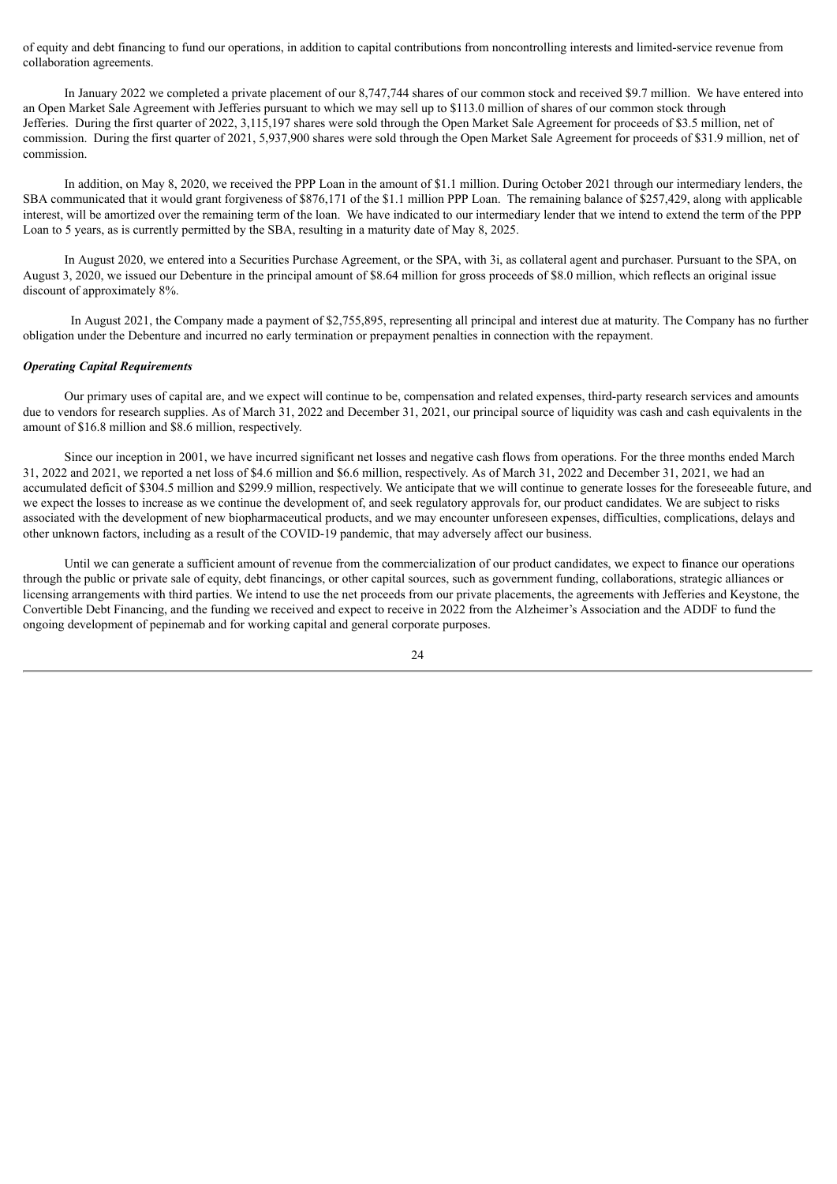of equity and debt financing to fund our operations, in addition to capital contributions from noncontrolling interests and limited-service revenue from collaboration agreements.

In January 2022 we completed a private placement of our 8,747,744 shares of our common stock and received \$9.7 million. We have entered into an Open Market Sale Agreement with Jefferies pursuant to which we may sell up to \$113.0 million of shares of our common stock through Jefferies. During the first quarter of 2022, 3,115,197 shares were sold through the Open Market Sale Agreement for proceeds of \$3.5 million, net of commission. During the first quarter of 2021, 5,937,900 shares were sold through the Open Market Sale Agreement for proceeds of \$31.9 million, net of commission.

In addition, on May 8, 2020, we received the PPP Loan in the amount of \$1.1 million. During October 2021 through our intermediary lenders, the SBA communicated that it would grant forgiveness of \$876,171 of the \$1.1 million PPP Loan. The remaining balance of \$257,429, along with applicable interest, will be amortized over the remaining term of the loan. We have indicated to our intermediary lender that we intend to extend the term of the PPP Loan to 5 years, as is currently permitted by the SBA, resulting in a maturity date of May 8, 2025.

In August 2020, we entered into a Securities Purchase Agreement, or the SPA, with 3i, as collateral agent and purchaser. Pursuant to the SPA, on August 3, 2020, we issued our Debenture in the principal amount of \$8.64 million for gross proceeds of \$8.0 million, which reflects an original issue discount of approximately 8%.

In August 2021, the Company made a payment of \$2,755,895, representing all principal and interest due at maturity. The Company has no further obligation under the Debenture and incurred no early termination or prepayment penalties in connection with the repayment.

#### *Operating Capital Requirements*

Our primary uses of capital are, and we expect will continue to be, compensation and related expenses, third-party research services and amounts due to vendors for research supplies. As of March 31, 2022 and December 31, 2021, our principal source of liquidity was cash and cash equivalents in the amount of \$16.8 million and \$8.6 million, respectively.

Since our inception in 2001, we have incurred significant net losses and negative cash flows from operations. For the three months ended March 31, 2022 and 2021, we reported a net loss of \$4.6 million and \$6.6 million, respectively. As of March 31, 2022 and December 31, 2021, we had an accumulated deficit of \$304.5 million and \$299.9 million, respectively. We anticipate that we will continue to generate losses for the foreseeable future, and we expect the losses to increase as we continue the development of, and seek regulatory approvals for, our product candidates. We are subject to risks associated with the development of new biopharmaceutical products, and we may encounter unforeseen expenses, difficulties, complications, delays and other unknown factors, including as a result of the COVID-19 pandemic, that may adversely affect our business.

Until we can generate a sufficient amount of revenue from the commercialization of our product candidates, we expect to finance our operations through the public or private sale of equity, debt financings, or other capital sources, such as government funding, collaborations, strategic alliances or licensing arrangements with third parties. We intend to use the net proceeds from our private placements, the agreements with Jefferies and Keystone, the Convertible Debt Financing, and the funding we received and expect to receive in 2022 from the Alzheimer's Association and the ADDF to fund the ongoing development of pepinemab and for working capital and general corporate purposes.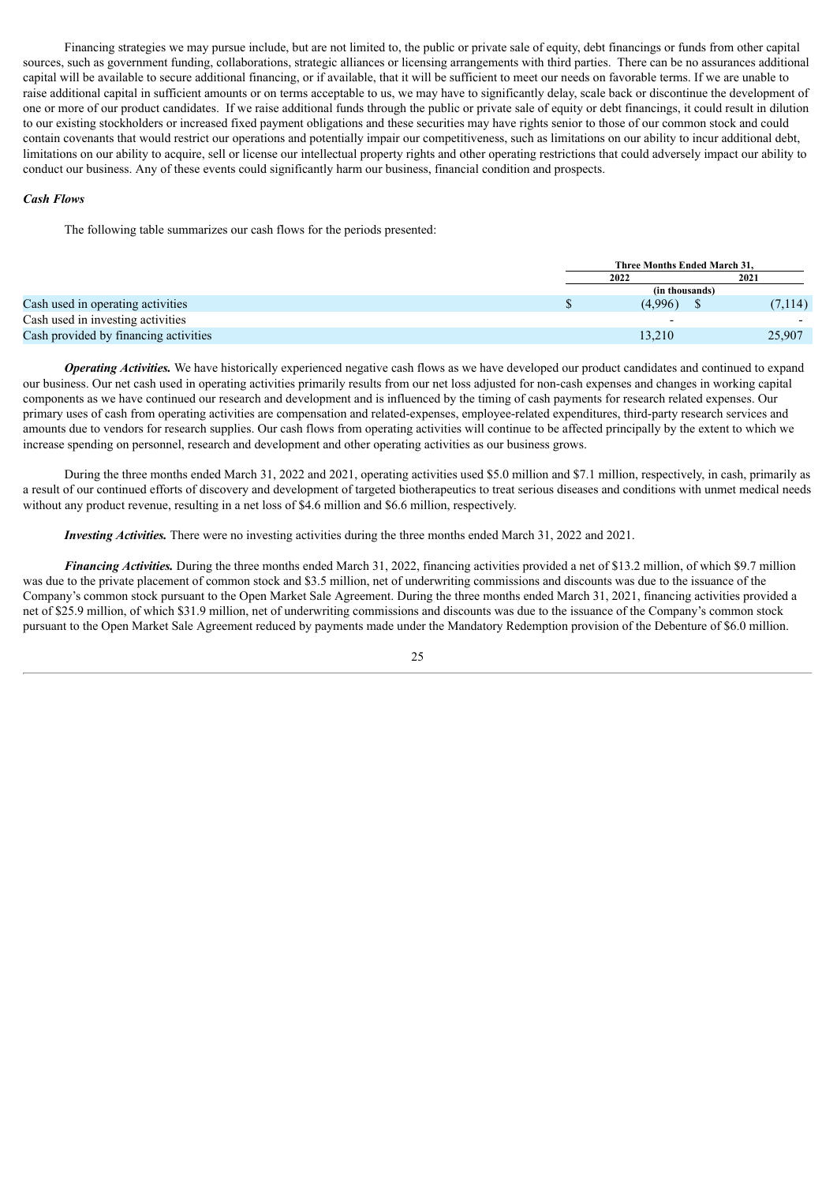Financing strategies we may pursue include, but are not limited to, the public or private sale of equity, debt financings or funds from other capital sources, such as government funding, collaborations, strategic alliances or licensing arrangements with third parties. There can be no assurances additional capital will be available to secure additional financing, or if available, that it will be sufficient to meet our needs on favorable terms. If we are unable to raise additional capital in sufficient amounts or on terms acceptable to us, we may have to significantly delay, scale back or discontinue the development of one or more of our product candidates. If we raise additional funds through the public or private sale of equity or debt financings, it could result in dilution to our existing stockholders or increased fixed payment obligations and these securities may have rights senior to those of our common stock and could contain covenants that would restrict our operations and potentially impair our competitiveness, such as limitations on our ability to incur additional debt, limitations on our ability to acquire, sell or license our intellectual property rights and other operating restrictions that could adversely impact our ability to conduct our business. Any of these events could significantly harm our business, financial condition and prospects.

#### *Cash Flows*

The following table summarizes our cash flows for the periods presented:

|                                       |      | Three Months Ended March 31. |         |  |
|---------------------------------------|------|------------------------------|---------|--|
|                                       | 2022 |                              | 2021    |  |
|                                       |      | (in thousands)               |         |  |
| Cash used in operating activities     |      | (4.996)                      | (7,114) |  |
| Cash used in investing activities     |      | $\overline{\phantom{0}}$     |         |  |
| Cash provided by financing activities |      | 13.210                       | 25,907  |  |

*Operating Activities.* We have historically experienced negative cash flows as we have developed our product candidates and continued to expand our business. Our net cash used in operating activities primarily results from our net loss adjusted for non-cash expenses and changes in working capital components as we have continued our research and development and is influenced by the timing of cash payments for research related expenses. Our primary uses of cash from operating activities are compensation and related-expenses, employee-related expenditures, third-party research services and amounts due to vendors for research supplies. Our cash flows from operating activities will continue to be affected principally by the extent to which we increase spending on personnel, research and development and other operating activities as our business grows.

During the three months ended March 31, 2022 and 2021, operating activities used \$5.0 million and \$7.1 million, respectively, in cash, primarily as a result of our continued efforts of discovery and development of targeted biotherapeutics to treat serious diseases and conditions with unmet medical needs without any product revenue, resulting in a net loss of \$4.6 million and \$6.6 million, respectively.

*Investing Activities.* There were no investing activities during the three months ended March 31, 2022 and 2021.

*Financing Activities.* During the three months ended March 31, 2022, financing activities provided a net of \$13.2 million, of which \$9.7 million was due to the private placement of common stock and \$3.5 million, net of underwriting commissions and discounts was due to the issuance of the Company's common stock pursuant to the Open Market Sale Agreement. During the three months ended March 31, 2021, financing activities provided a net of \$25.9 million, of which \$31.9 million, net of underwriting commissions and discounts was due to the issuance of the Company's common stock pursuant to the Open Market Sale Agreement reduced by payments made under the Mandatory Redemption provision of the Debenture of \$6.0 million.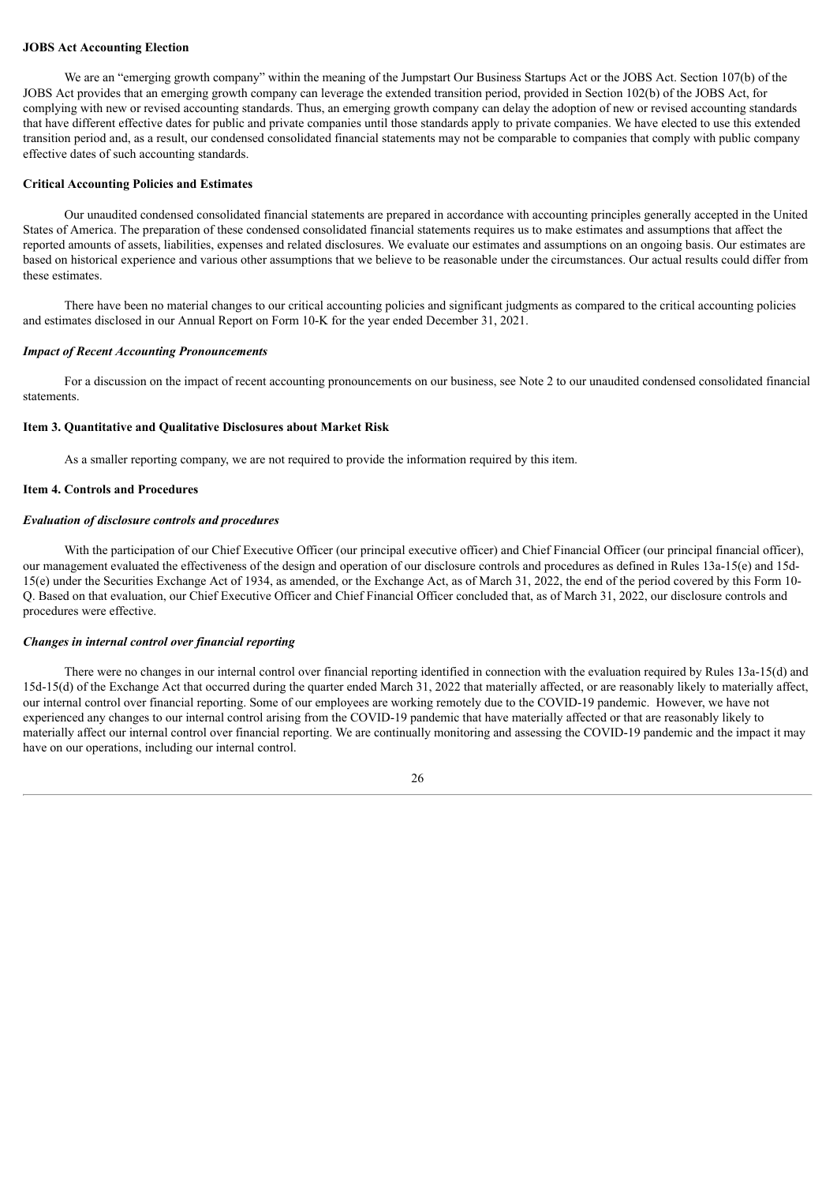#### **JOBS Act Accounting Election**

We are an "emerging growth company" within the meaning of the Jumpstart Our Business Startups Act or the JOBS Act. Section 107(b) of the JOBS Act provides that an emerging growth company can leverage the extended transition period, provided in Section 102(b) of the JOBS Act, for complying with new or revised accounting standards. Thus, an emerging growth company can delay the adoption of new or revised accounting standards that have different effective dates for public and private companies until those standards apply to private companies. We have elected to use this extended transition period and, as a result, our condensed consolidated financial statements may not be comparable to companies that comply with public company effective dates of such accounting standards.

#### **Critical Accounting Policies and Estimates**

Our unaudited condensed consolidated financial statements are prepared in accordance with accounting principles generally accepted in the United States of America. The preparation of these condensed consolidated financial statements requires us to make estimates and assumptions that affect the reported amounts of assets, liabilities, expenses and related disclosures. We evaluate our estimates and assumptions on an ongoing basis. Our estimates are based on historical experience and various other assumptions that we believe to be reasonable under the circumstances. Our actual results could differ from these estimates.

There have been no material changes to our critical accounting policies and significant judgments as compared to the critical accounting policies and estimates disclosed in our Annual Report on Form 10-K for the year ended December 31, 2021.

#### *Impact of Recent Accounting Pronouncements*

For a discussion on the impact of recent accounting pronouncements on our business, see Note 2 to our unaudited condensed consolidated financial statements.

#### <span id="page-25-0"></span>**Item 3. Quantitative and Qualitative Disclosures about Market Risk**

As a smaller reporting company, we are not required to provide the information required by this item.

#### <span id="page-25-1"></span>**Item 4. Controls and Procedures**

#### *Evaluation of disclosure controls and procedures*

With the participation of our Chief Executive Officer (our principal executive officer) and Chief Financial Officer (our principal financial officer), our management evaluated the effectiveness of the design and operation of our disclosure controls and procedures as defined in Rules 13a-15(e) and 15d-15(e) under the Securities Exchange Act of 1934, as amended, or the Exchange Act, as of March 31, 2022, the end of the period covered by this Form 10- Q. Based on that evaluation, our Chief Executive Officer and Chief Financial Officer concluded that, as of March 31, 2022, our disclosure controls and procedures were effective.

#### *Changes in internal control over financial reporting*

There were no changes in our internal control over financial reporting identified in connection with the evaluation required by Rules 13a-15(d) and 15d-15(d) of the Exchange Act that occurred during the quarter ended March 31, 2022 that materially affected, or are reasonably likely to materially affect, our internal control over financial reporting. Some of our employees are working remotely due to the COVID-19 pandemic. However, we have not experienced any changes to our internal control arising from the COVID-19 pandemic that have materially affected or that are reasonably likely to materially affect our internal control over financial reporting. We are continually monitoring and assessing the COVID-19 pandemic and the impact it may have on our operations, including our internal control.

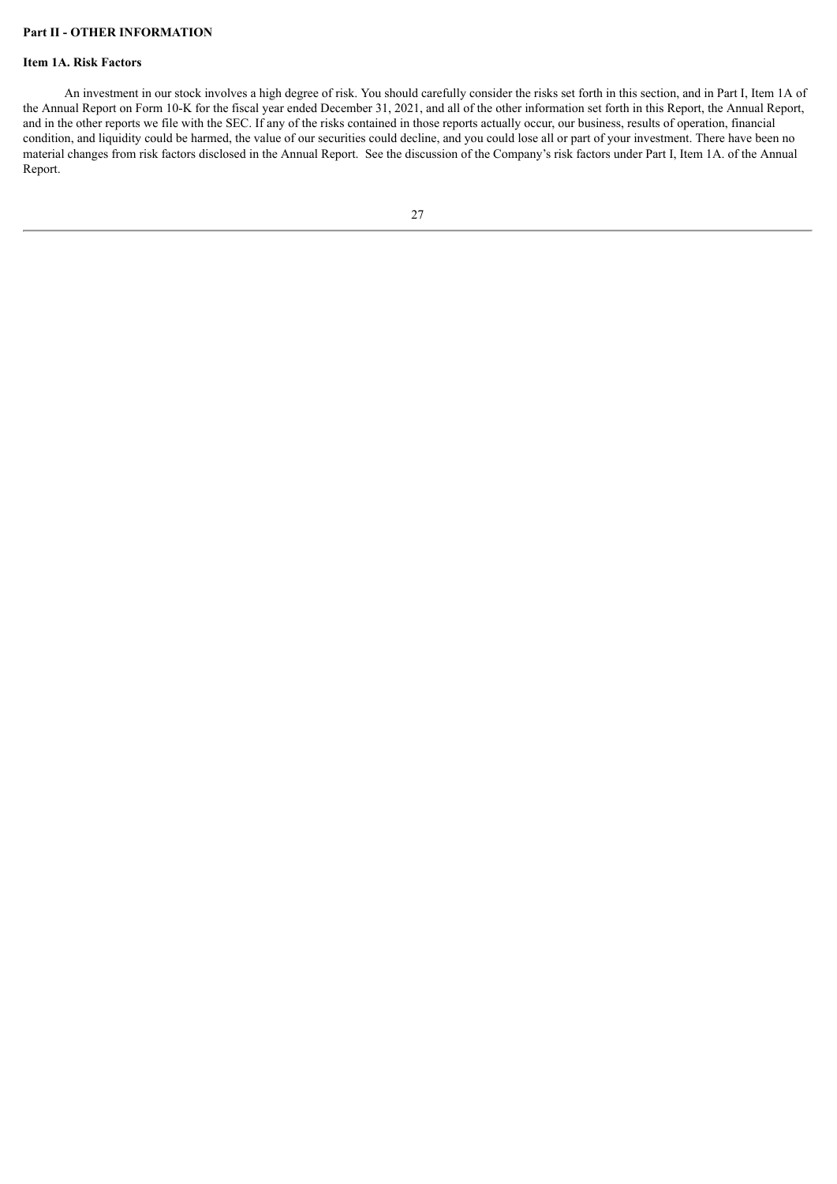#### <span id="page-26-0"></span>**Part II - OTHER INFORMATION**

#### <span id="page-26-1"></span>**Item 1A. Risk Factors**

An investment in our stock involves a high degree of risk. You should carefully consider the risks set forth in this section, and in Part I, Item 1A of the Annual Report on Form 10-K for the fiscal year ended December 31, 2021, and all of the other information set forth in this Report, the Annual Report, and in the other reports we file with the SEC. If any of the risks contained in those reports actually occur, our business, results of operation, financial condition, and liquidity could be harmed, the value of our securities could decline, and you could lose all or part of your investment. There have been no material changes from risk factors disclosed in the Annual Report. See the discussion of the Company's risk factors under Part I, Item 1A. of the Annual Report.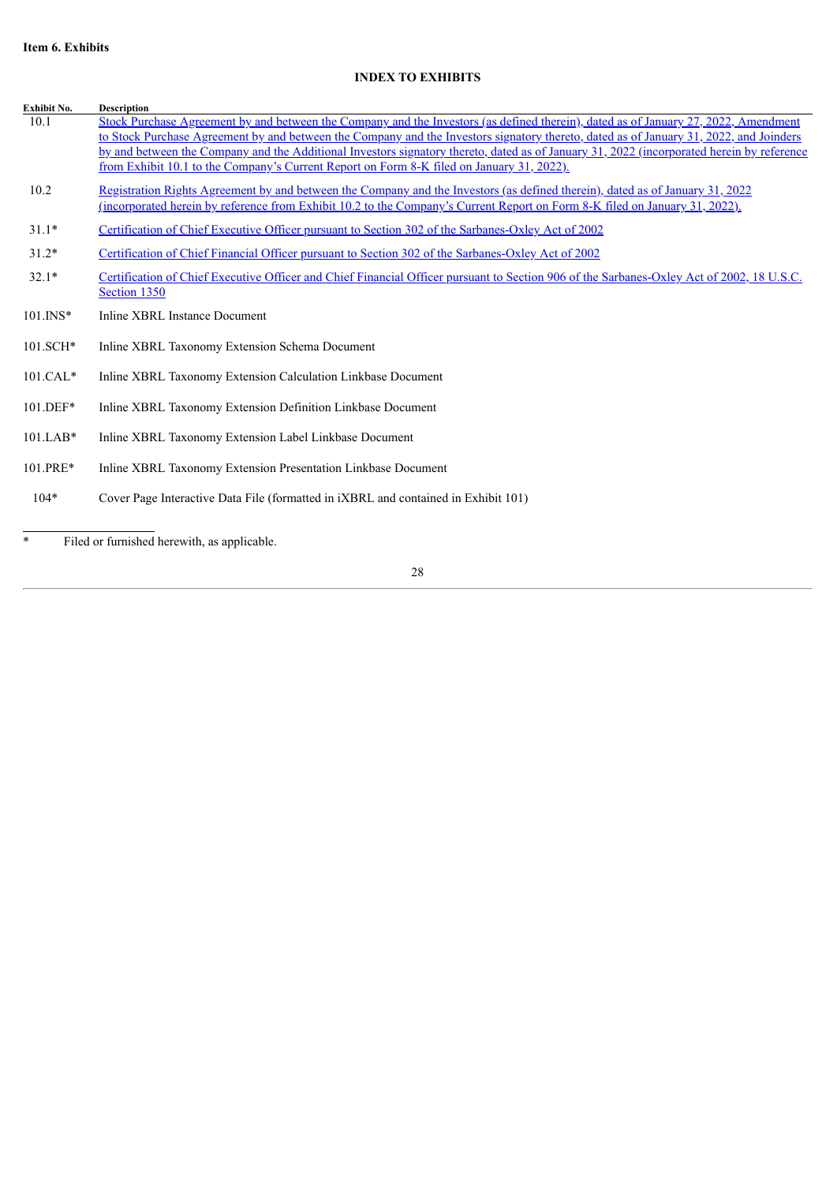# **INDEX TO EXHIBITS**

<span id="page-27-0"></span>

| Exhibit No.  | <b>Description</b>                                                                                                                        |
|--------------|-------------------------------------------------------------------------------------------------------------------------------------------|
| 10.1         | Stock Purchase Agreement by and between the Company and the Investors (as defined therein), dated as of January 27, 2022, Amendment       |
|              | to Stock Purchase Agreement by and between the Company and the Investors signatory thereto, dated as of January 31, 2022, and Joinders    |
|              | by and between the Company and the Additional Investors signatory thereto, dated as of January 31, 2022 (incorporated herein by reference |
|              | from Exhibit 10.1 to the Company's Current Report on Form 8-K filed on January 31, 2022).                                                 |
| 10.2         | Registration Rights Agreement by and between the Company and the Investors (as defined therein), dated as of January 31, 2022             |
|              | (incorporated herein by reference from Exhibit 10.2 to the Company's Current Report on Form 8-K filed on January 31, 2022).               |
| $31.1*$      | Certification of Chief Executive Officer pursuant to Section 302 of the Sarbanes-Oxley Act of 2002                                        |
| $31.2*$      | Certification of Chief Financial Officer pursuant to Section 302 of the Sarbanes-Oxley Act of 2002                                        |
| $32.1*$      | Certification of Chief Executive Officer and Chief Financial Officer pursuant to Section 906 of the Sarbanes-Oxley Act of 2002, 18 U.S.C. |
|              | Section 1350                                                                                                                              |
| $101$ . INS* | Inline XBRL Instance Document                                                                                                             |
|              |                                                                                                                                           |
| 101.SCH*     | Inline XBRL Taxonomy Extension Schema Document                                                                                            |
|              |                                                                                                                                           |
| $101.CAL*$   | Inline XBRL Taxonomy Extension Calculation Linkbase Document                                                                              |
|              |                                                                                                                                           |
| 101.DEF*     | Inline XBRL Taxonomy Extension Definition Linkbase Document                                                                               |
| $101.LAB*$   | Inline XBRL Taxonomy Extension Label Linkbase Document                                                                                    |
|              |                                                                                                                                           |
| 101.PRE*     | Inline XBRL Taxonomy Extension Presentation Linkbase Document                                                                             |
|              |                                                                                                                                           |
| $104*$       | Cover Page Interactive Data File (formatted in iXBRL and contained in Exhibit 101)                                                        |
|              |                                                                                                                                           |
| $\ast$       | Filed or furnished herewith, as applicable.                                                                                               |
|              |                                                                                                                                           |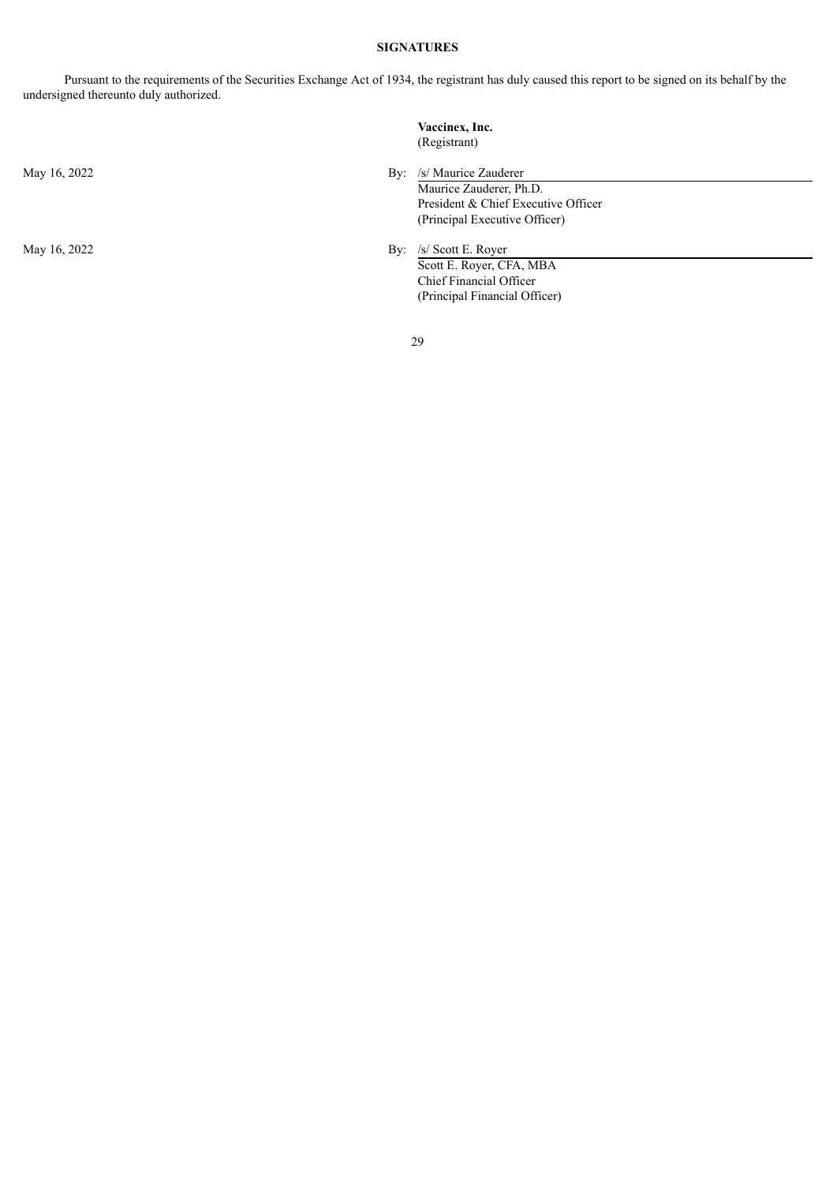# **SIGNATURES**

<span id="page-28-0"></span>Pursuant to the requirements of the Securities Exchange Act of 1934, the registrant has duly caused this report to be signed on its behalf by the undersigned thereunto duly authorized.

**Vaccinex, Inc.** (Registrant)

May 16, 2022 By: /s/ Maurice Zauderer Maurice Zauderer, Ph.D. President & Chief Executive Officer (Principal Executive Officer)

May 16, 2022 By: /s/ Scott E. Royer Scott E. Royer, CFA, MBA Chief Financial Officer (Principal Financial Officer)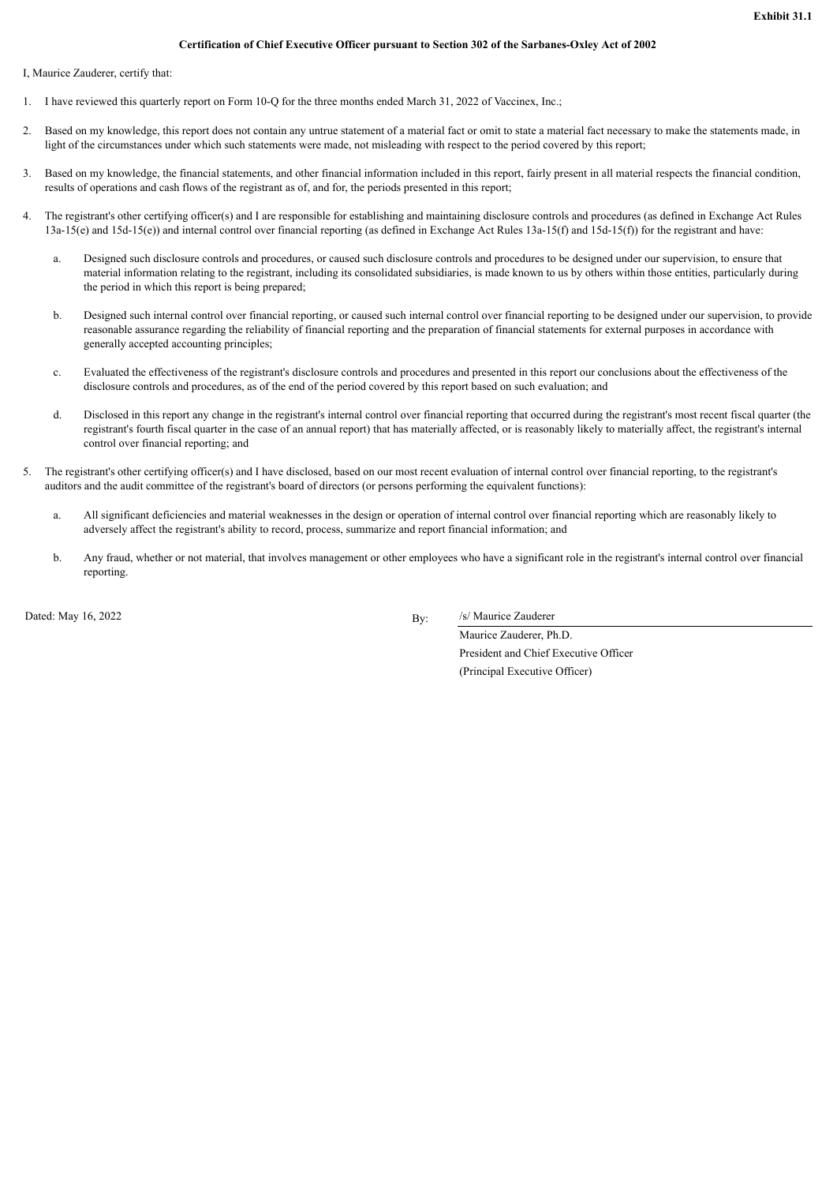#### **Certification of Chief Executive Officer pursuant to Section 302 of the Sarbanes-Oxley Act of 2002**

<span id="page-29-0"></span>I, Maurice Zauderer, certify that:

- 1. I have reviewed this quarterly report on Form 10-Q for the three months ended March 31, 2022 of Vaccinex, Inc.;
- 2. Based on my knowledge, this report does not contain any untrue statement of a material fact or omit to state a material fact necessary to make the statements made, in light of the circumstances under which such statements were made, not misleading with respect to the period covered by this report;
- 3. Based on my knowledge, the financial statements, and other financial information included in this report, fairly present in all material respects the financial condition, results of operations and cash flows of the registrant as of, and for, the periods presented in this report;
- 4. The registrant's other certifying officer(s) and I are responsible for establishing and maintaining disclosure controls and procedures (as defined in Exchange Act Rules  $13a-15(e)$  and  $15d-15(e)$ ) and internal control over financial reporting (as defined in Exchange Act Rules  $13a-15(f)$  and  $15d-15(f)$ ) for the registrant and have:
	- a. Designed such disclosure controls and procedures, or caused such disclosure controls and procedures to be designed under our supervision, to ensure that material information relating to the registrant, including its consolidated subsidiaries, is made known to us by others within those entities, particularly during the period in which this report is being prepared;
	- b. Designed such internal control over financial reporting, or caused such internal control over financial reporting to be designed under our supervision, to provide reasonable assurance regarding the reliability of financial reporting and the preparation of financial statements for external purposes in accordance with generally accepted accounting principles;
	- c. Evaluated the effectiveness of the registrant's disclosure controls and procedures and presented in this report our conclusions about the effectiveness of the disclosure controls and procedures, as of the end of the period covered by this report based on such evaluation; and
	- d. Disclosed in this report any change in the registrant's internal control over financial reporting that occurred during the registrant's most recent fiscal quarter (the registrant's fourth fiscal quarter in the case of an annual report) that has materially affected, or is reasonably likely to materially affect, the registrant's internal control over financial reporting; and
- 5. The registrant's other certifying officer(s) and I have disclosed, based on our most recent evaluation of internal control over financial reporting, to the registrant's auditors and the audit committee of the registrant's board of directors (or persons performing the equivalent functions):
	- a. All significant deficiencies and material weaknesses in the design or operation of internal control over financial reporting which are reasonably likely to adversely affect the registrant's ability to record, process, summarize and report financial information; and
	- b. Any fraud, whether or not material, that involves management or other employees who have a significant role in the registrant's internal control over financial reporting.

Dated: May 16, 2022 By: /s/ Maurice Zauderer

Maurice Zauderer, Ph.D. President and Chief Executive Officer (Principal Executive Officer)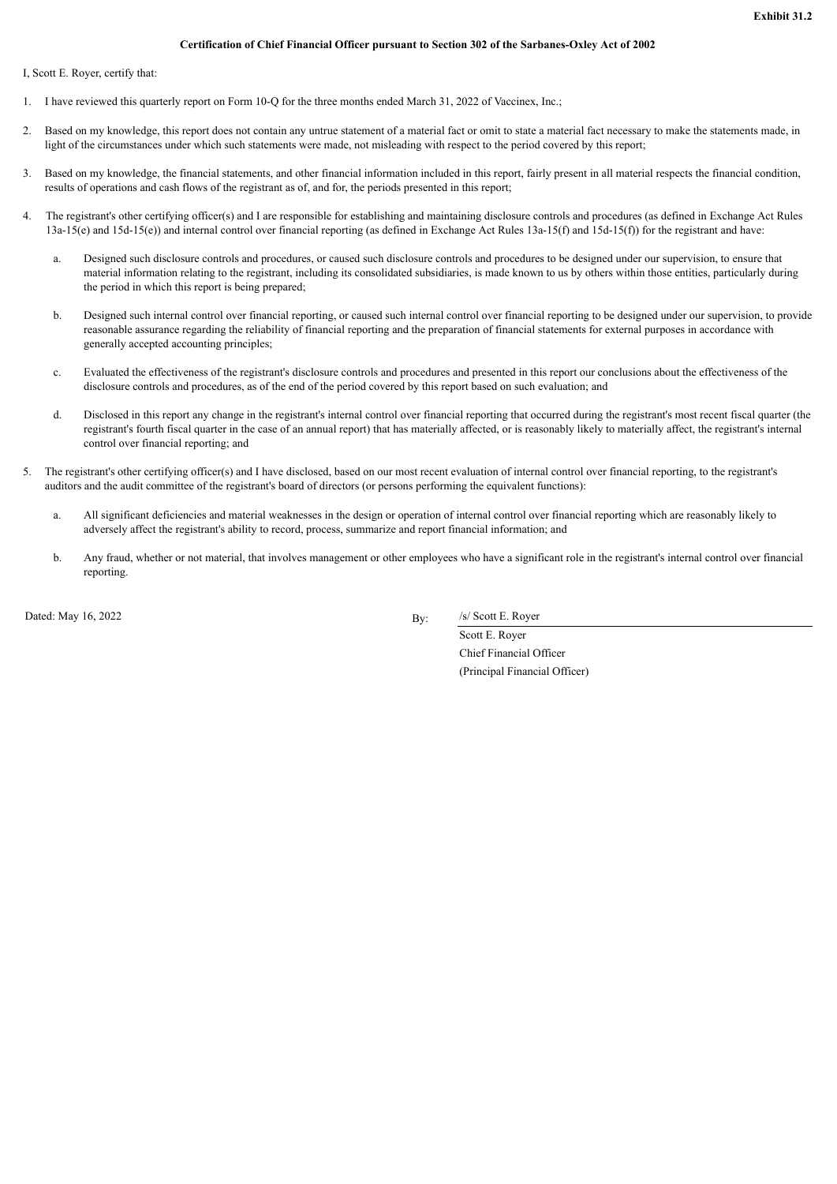#### **Certification of Chief Financial Officer pursuant to Section 302 of the Sarbanes-Oxley Act of 2002**

<span id="page-30-0"></span>I, Scott E. Royer, certify that:

- 1. I have reviewed this quarterly report on Form 10-Q for the three months ended March 31, 2022 of Vaccinex, Inc.;
- 2. Based on my knowledge, this report does not contain any untrue statement of a material fact or omit to state a material fact necessary to make the statements made, in light of the circumstances under which such statements were made, not misleading with respect to the period covered by this report;
- 3. Based on my knowledge, the financial statements, and other financial information included in this report, fairly present in all material respects the financial condition, results of operations and cash flows of the registrant as of, and for, the periods presented in this report;
- 4. The registrant's other certifying officer(s) and I are responsible for establishing and maintaining disclosure controls and procedures (as defined in Exchange Act Rules  $13a-15(e)$  and  $15d-15(e)$ ) and internal control over financial reporting (as defined in Exchange Act Rules  $13a-15(f)$  and  $15d-15(f)$ ) for the registrant and have:
	- a. Designed such disclosure controls and procedures, or caused such disclosure controls and procedures to be designed under our supervision, to ensure that material information relating to the registrant, including its consolidated subsidiaries, is made known to us by others within those entities, particularly during the period in which this report is being prepared;
	- b. Designed such internal control over financial reporting, or caused such internal control over financial reporting to be designed under our supervision, to provide reasonable assurance regarding the reliability of financial reporting and the preparation of financial statements for external purposes in accordance with generally accepted accounting principles;
	- c. Evaluated the effectiveness of the registrant's disclosure controls and procedures and presented in this report our conclusions about the effectiveness of the disclosure controls and procedures, as of the end of the period covered by this report based on such evaluation; and
	- d. Disclosed in this report any change in the registrant's internal control over financial reporting that occurred during the registrant's most recent fiscal quarter (the registrant's fourth fiscal quarter in the case of an annual report) that has materially affected, or is reasonably likely to materially affect, the registrant's internal control over financial reporting; and
- 5. The registrant's other certifying officer(s) and I have disclosed, based on our most recent evaluation of internal control over financial reporting, to the registrant's auditors and the audit committee of the registrant's board of directors (or persons performing the equivalent functions):
	- a. All significant deficiencies and material weaknesses in the design or operation of internal control over financial reporting which are reasonably likely to adversely affect the registrant's ability to record, process, summarize and report financial information; and
	- b. Any fraud, whether or not material, that involves management or other employees who have a significant role in the registrant's internal control over financial reporting.

Dated: May 16, 2022 By: /s/ Scott E. Royer

Scott E. Royer Chief Financial Officer (Principal Financial Officer)